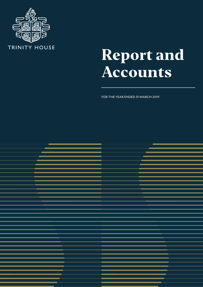

# **Report and Accounts**

FOR THE YEAR ENDED 31 MARCH 2019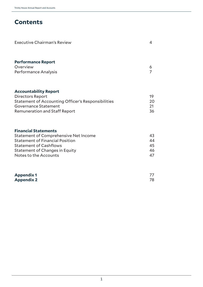# **Contents**

| Executive Chairman's Review                                                                                                                                                                                                                                  | 4                    |
|--------------------------------------------------------------------------------------------------------------------------------------------------------------------------------------------------------------------------------------------------------------|----------------------|
| <b>Performance Report</b><br>Overview<br>Performance Analysis                                                                                                                                                                                                | 6                    |
| <b>Accountability Report</b><br>Directors Report<br><b>Statement of Accounting Officer's Responsibilities</b><br>Governance Statement<br><b>Remuneration and Staff Report</b>                                                                                | 19<br>20<br>21<br>36 |
| <b>Financial Statements</b><br>$C$ to the second of $C$ and send on the second second second second second second second second second second second second second second second second second second second second second second second second second secon | $\sqrt{2}$           |

| <b>Statement of Comprehensive Net Income</b> | 43  |
|----------------------------------------------|-----|
| <b>Statement of Financial Position</b>       | 44  |
| <b>Statement of Cashflows</b>                | 45  |
| Statement of Changes in Equity               | 46. |
| Notes to the Accounts                        | 47  |

| <b>Appendix 1</b> |  |
|-------------------|--|
| <b>Appendix 2</b> |  |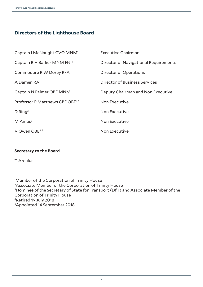# **Directors of the Lighthouse Board**

| Captain I McNaught CVO MNM <sup>1</sup>    | <b>Executive Chairman</b>             |
|--------------------------------------------|---------------------------------------|
| Captain R H Barker MNM FNI <sup>1</sup>    | Director of Navigational Requirements |
| Commodore R W Dorey RFA <sup>1</sup>       | Director of Operations                |
| A Damen $RA^2$                             | Director of Business Services         |
| Captain N Palmer OBE MNM <sup>1</sup>      | Deputy Chairman and Non Executive     |
| Professor P Matthews CBE OBE <sup>34</sup> | Non Executive                         |
| $D$ Ring <sup>3</sup>                      | Non Executive                         |
| $M$ Amos <sup>3</sup>                      | Non Executive                         |
| V Owen OBE $3.5$                           | <b>Non Executive</b>                  |

# **Secretary to the Board**

T Arculus

1 Member of the Corporation of Trinity House 2Associate Member of the Corporation of Trinity House 3 Nominee of the Secretary of State for Transport (DfT) and Associate Member of the Corporation of Trinity House 4Retired 19 July 2018 5Appointed 14 September 2018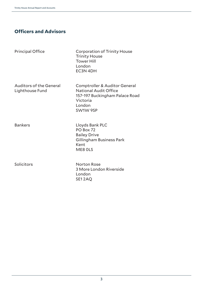# **Officers and Advisors**

Principal Office Corporation of Trinity House Trinity House Tower Hill London EC3N 4DH

Lighthouse Fund National Audit Office

Auditors of the General Comptroller & Auditor General 157-197 Buckingham Palace Road Victoria London SW1W 9SP

Bankers Lloyds Bank PLC PO Box 72 Bailey Drive Gillingham Business Park Kent ME8 0LS

Solicitors Norton Rose 3 More London Riverside London SE1 2AQ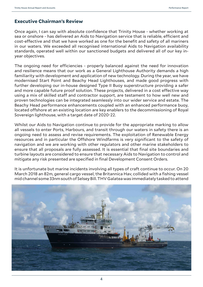# **Executive Chairman's Review**

Once again, I can say with absolute confidence that Trinity House - whether working at sea or onshore - has delivered an Aids to Navigation service that is reliable, efficient and cost-effective and that we have worked as one for the benefit and safety of all mariners in our waters. We exceeded all recognised international Aids to Navigation availability standards, operated well within our sanctioned budgets and delivered all of our key inyear objectives.

The ongoing need for efficiencies - properly balanced against the need for innovation and resilience means that our work as a General Lighthouse Authority demands a high familiarity with development and application of new technology. During the year, we have modernised Start Point and Beachy Head Lighthouses, and made good progress with further developing our in-house designed Type II Buoy superstructure providing a safer and more capable future proof solution. These projects, delivered in a cost effective way using a mix of skilled staff and contractor support, are testament to how well new and proven technologies can be integrated seamlessly into our wider service and estate. The Beachy Head performance enhancements coupled with an enhanced performance buoy, located offshore at an existing location are key enablers to the decommissioning of Royal Sovereign lighthouse, with a target date of 2020-22.

Whilst our Aids to Navigation continue to provide for the appropriate marking to allow all vessels to enter Ports, Harbours, and transit through our waters in safety there is an ongoing need to assess and revise requirements. The exploitation of Renewable Energy resources and in particular the Offshore Windfarms is very significant to the safety of navigation and we are working with other regulators and other marine stakeholders to ensure that all proposals are fully assessed. It is essential that final site boundaries and turbine layouts are considered to ensure that necessary Aids to Navigation to control and mitigate any risk presented are specified in final Development Consent Orders.

It is unfortunate but marine incidents involving all types of craft continue to occur. On 20 March 2018 an 82m, general cargo vessel, the Britannica Hav, collided with a fishing vessel mid channel some 33nm south of Selsey Bill. THV Galatea was immediately tasked to attend

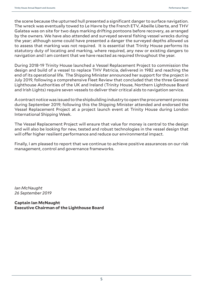the scene because the upturned hull presented a significant danger to surface navigation. The wreck was eventually towed to Le Havre by the French ETV, Abeille Liberte, and THV Galatea was on site for two days marking drifting pontoons before recovery, as arranged by the owners. We have also attended and surveyed several fishing vessel wrecks during the year; although some could have presented a danger the surveyed depths allowed us to assess that marking was not required. It is essential that Trinity House performs its statutory duty of locating and marking, where required, any new or existing dangers to navigation and I am content that we have reacted as required throughout the year.

During 2018-19 Trinity House launched a Vessel Replacement Project to commission the design and build of a vessel to replace THV Patricia, delivered in 1982 and reaching the end of its operational life. The Shipping Minister announced her support for the project in July 2019, following a comprehensive Fleet Review that concluded that the three General Lighthouse Authorities of the UK and Ireland (Trinity House, Northern Lighthouse Board and Irish Lights) require seven vessels to deliver their critical aids to navigation service.

A contract notice was issued to the shipbuilding industry to open the procurement process during September 2019; following this the Shipping Minister attended and endorsed the Vessel Replacement Project at a project launch event at Trinity House during London International Shipping Week.

The Vessel Replacement Project will ensure that value for money is central to the design and will also be looking for new, tested and robust technologies in the vessel design that will offer higher resilient performance and reduce our environmental impact.

Finally, I am pleased to report that we continue to achieve positive assurances on our risk management, control and governance frameworks.

*Ian McNaught 26 September 2019*

**Captain Ian McNaught Executive Chairman of the Lighthouse Board**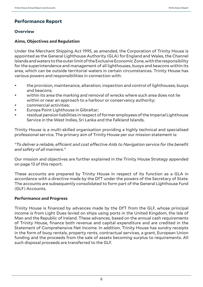# **Performance Report**

## **Overview**

## **Aims, Objectives and Regulation**

Under the Merchant Shipping Act 1995, as amended, the Corporation of Trinity House is appointed as the General Lighthouse Authority (GLA) for England and Wales, the Channel Islands and waters to the outer limit of the Exclusive Economic Zone, with the responsibility for the superintendence and management of all lighthouses, buoys and beacons within its area, which can be outside territorial waters in certain circumstances. Trinity House has various powers and responsibilities in connection with:

- the provision, maintenance, alteration, inspection and control of lighthouses, buoys and beacons;
- within its area the marking and removal of wrecks where such area does not lie within or near an approach to a harbour or conservancy authority;
- commercial activities;
- Europa Point Lighthouse in Gibraltar;
- residual pension liabilities in respect of former employees of the Imperial Lighthouse Service in the West Indies, Sri Lanka and the Falkland Islands.

Trinity House is a multi-skilled organisation providing a highly technical and specialised professional service. The primary aim of Trinity House per our mission statement is:

## *"To deliver a reliable, efficient and cost effective Aids to Navigation service for the benefit and safety of all mariners."*

Our mission and objectives are further explained in the Trinity House Strategy appended on page 13 of this report.

These accounts are prepared by Trinity House in respect of its function as a GLA in accordance with a directive made by the DfT under the powers of the Secretary of State. The accounts are subsequently consolidated to form part of the General Lighthouse Fund (GLF) Accounts.

## **Performance and Progress**

Trinity House is financed by advances made by the DfT from the GLF, whose principal income is from Light Dues levied on ships using ports in the United Kingdom, the Isle of Man and the Republic of Ireland. These advances, based on the annual cash requirements of Trinity House, finance both revenue and capital expenditure and are credited in the Statement of Comprehensive Net Income. In addition, Trinity House has sundry receipts in the form of buoy rentals, property rents, contractual services, a grant, European Union funding and the proceeds from the sale of assets becoming surplus to requirements. All such disposal proceeds are transferred to the GLF.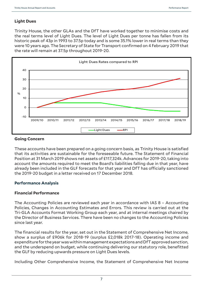# **Light Dues**

Trinity House, the other GLAs and the DfT have worked together to minimise costs and the real terms level of Light Dues. The level of Light Dues per tonne has fallen from its historic peak of 43p in 1993 to 37.5p today and is some 35.1% lower in real terms than they were 10 years ago. The Secretary of State for Transport confirmed on 4 February 2019 that the rate will remain at 37.5p throughout 2019-20.



## **Going Concern**

These accounts have been prepared on a going concern basis, as Trinity House is satisfied that its activities are sustainable for the foreseeable future. The Statement of Financial Position at 31 March 2019 shows net assets of £117,324k. Advances for 2019-20, taking into account the amounts required to meet the Board's liabilities falling due in that year, have already been included in the GLF forecasts for that year and DfT has officially sanctioned the 2019-20 budget in a letter received on 17 December 2018.

## **Performance Analysis**

## **Financial Performance**

The Accounting Policies are reviewed each year in accordance with IAS 8 – Accounting Policies, Changes in Accounting Estimates and Errors. This review is carried out at the Tri-GLA Accounts Format Working Group each year, and at internal meetings chaired by the Director of Business Services. There have been no changes to the Accounting Policies since last year.

The financial results for the year, set out in the Statement of Comprehensive Net Income, show a surplus of £906k for 2018-19 (surplus £2,018k 2017-18). Operating income and expenditure for the year was within management expectations and DfT approved sanction, and the underspend on budget, while continuing delivering our statutory role, benefitted the GLF by reducing upwards pressure on Light Dues levels.

Including Other Comprehensive Income, the Statement of Comprehensive Net Income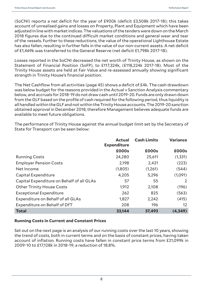(SoCNI) reports a net deficit for the year of £900k (deficit £3,508k 2017-18); this takes account of unrealised gains and losses on Property, Plant and Equipment which have been adjusted in line with market indices. The valuations of the tenders were down on the March 2018 figures due to the continued difficult market conditions and general wear and tear of the vessels. Further to these reductions, the value of the operational Lighthouse Estate has also fallen, resulting in further falls in the value of our non-current assets. A net deficit of £1,469k was transferred to the General Reserve (net deficit £1,798k 2017-18).

Losses reported in the SoCNI decreased the net worth of Trinity House, as shown on the Statement of Financial Position (SoFP), to £117,324k, (£118,224k 2017-18). Most of the Trinity House assets are held at Fair Value and re-assessed annually showing significant strength in Trinity House's financial position.

The Net Cashflow from all activities (page 45) shows a deficit of £4k. The cash drawdown was below budget for the reasons provided in the Actual v Sanction Analysis commentary below, and accruals for 2018-19 do not draw cash until 2019-20. Funds are only drawn down from the GLF based on the profile of cash required for the following period, thus liquidity is all handled within the GLF and not within the Trinity House accounts. The 2019-20 sanction obtained approval in December 2018, therefore Management believes adequate funds are available to meet future obligations.

The performance of Trinity House against the annual budget limit set by the Secretary of State for Transport can be seen below:

|                                           | <b>Actual</b><br><b>Expenditure</b> | <b>Cash Limits</b> | <b>Variance</b>   |
|-------------------------------------------|-------------------------------------|--------------------|-------------------|
|                                           | £000s                               | £000s              | £000s             |
| <b>Running Costs</b>                      | 24,280                              | 25,611             | (1, 331)          |
| <b>Employer Pension Costs</b>             | 2,198                               | 2,421              | (223)             |
| Net Income                                | (1,805)                             | (1,261)            | (544)             |
| Capital Expenditure                       | 4,205                               | 5,296              | (1,091)           |
| Capital Expenditure on Behalf of all GLAs | 57                                  | 55                 | 2                 |
| <b>Other Trinity House Costs</b>          | 1,912                               | 2,108              | (196)             |
| <b>Exceptional Expenditure</b>            | 262                                 | 825                | (563)             |
| Expenditure on Behalf of all GLAs         | 1,827                               | 2,242              | (415)             |
| Expenditure on Behalf of DfT              | 208                                 | 196                | $12 \overline{ }$ |
| <b>Total</b>                              | 33,144                              | 37,493             | (4, 349)          |

## **Running Costs in Current and Constant Prices**

Set out on the next page is an analysis of our running costs over the last 10 years, showing the trend of costs, both in current terms and on the basis of constant prices, having taken account of inflation. Running costs have fallen in constant price terms from £21,099k in 2009-10 to £17,128k in 2018-19; a reduction of 18.8%.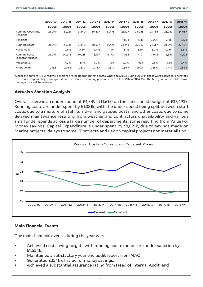|                                    | 2009-10 | 2010-11 | 2011-12 | 2012-13 | 2013-14 | 2014-15 | 2015-16 | 2016-17 | 2017-18 | 2018-19 |
|------------------------------------|---------|---------|---------|---------|---------|---------|---------|---------|---------|---------|
|                                    | £000s   | £000s   | £000s   | £000s   | £000s   | £000s   | £000s   | £000s   | £000s   | £000s   |
| Running Costs Inc.<br>Pensions     | 21,099  | 21,221  | 21,140  | 20,637  | 21,475  | 23,127  | 25,085  | 23,756  | 23,287  | 24,687  |
| Pensions                           |         |         |         |         |         | 1,884   | 2,118   | 2,089   | 2,189   | 2,198   |
| Running costs <sup>1</sup>         | 21.099  | 21,221  | 21,140  | 20,637  | 21,475  | 21,243  | 22,967  | 21,667  | 21,098  | 22,489  |
| Variance %                         |         | 0.6%    | $-0.4%$ | $-2.4%$ | 4.1%    | $-1.1%$ | 8.1%    | $-5.7%$ | $-2.6%$ | 6.6%    |
| Running costs<br>(constant prices) | 21,099  | 20,218  | 19,218  | 18,199  | 18,407  | 17,858  | 19,101  | 17,642  | 16,559  | 17,128  |
| Variance %                         |         | $-4.2%$ | $-4.9%$ | $-5.3%$ | 1.1%    | $-3.0%$ | 7.0%    | $-7.6%$ | $-6.1%$ | 3.4%    |
| Average RPI                        | 215.8   | 226.5   | 237.3   | 244.7   | 251.7   | 256.7   | 259.4   | 265.0   | 274.9   | 283.3   |

1 Under the current RPI-X regime, pensions are included in running costs, where previously up to 2013-14 these were excluded. Therefore, to ensure comparability, running costs are presented excluding pension costs below. When 2014-15 is the first year in the table above, running costs will be restated.

## **Actuals v Sanction Analysis**

Overall, there is an under spend of £4,349k (11.6%) on the sanctioned budget of £37,493k. Running costs are under spent by £1,331k, with the under spend being split between staff costs, due to a mixture of staff turnover and gapped posts, and other costs, due to some delayed maintenance resulting from weather and contractors unavailability and various small under spends across a large number of departments, some resulting from Value For Money savings. Capital Expenditure is under spent by £1,091k, due to savings made on Marine projects, delays to some IT projects and risk on capital projects not materialising.



## **Main Financial Events**

The main financial events during the year were:

- Achieved cost saving targets with running cost expenditure under sanction by £1,554k;
- Maintained a satisfactory year end audit report from NAO;
- Generated £354k of value for money savings;
- Achieved a substantial assurance rating from Head of Internal Audit; and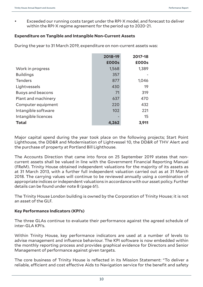• Exceeded our running costs target under the RPI-X model, and forecast to deliver within the RPI-X regime agreement for the period up to 2020-21.

## **Expenditure on Tangible and Intangible Non-Current Assets**

During the year to 31 March 2019, expenditure on non-current assets was:

|                          | 2018-19      | 2017-18 |
|--------------------------|--------------|---------|
|                          | <b>£000s</b> | £000s   |
| Work in progress         | 1,568        | 1,389   |
| <b>Buildings</b>         | 357          |         |
| <b>Tenders</b>           | 877          | 1,046   |
| Lightvessels             | 430          | 19      |
| <b>Buoys and beacons</b> | 71           | 319     |
| Plant and machinery      | 637          | 470     |
| Computer equipment       | 220          | 432     |
| Intangible software      | 102          | 221     |
| Intangible licences      |              | 15      |
| <b>Total</b>             | 4,262        | 3,911   |

Major capital spend during the year took place on the following projects; Start Point Lighthouse, the DD&R and Modernisation of Lightvessel 10, the DD&R of THV Alert and the purchase of property at Portland Bill Lighthouse.

The Accounts Direction that came into force on 25 September 2019 states that noncurrent assets shall be valued in line with the Government Financial Reporting Manual (FReM). Trinity House obtained independent valuations for the majority of its assets as at 31 March 2013, with a further full independent valuation carried out as at 31 March 2018. The carrying values will continue to be reviewed annually using a combination of appropriate indices or independent valuations in accordance with our asset policy. Further details can be found under note 8 (page 61).

The Trinity House London building is owned by the Corporation of Trinity House; it is not an asset of the GLF.

## **Key Performance Indicators (KPI's)**

The three GLAs continue to evaluate their performance against the agreed schedule of inter-GLA KPI's.

Within Trinity House, key performance indicators are used at a number of levels to advise management and influence behaviour. The KPI software is now embedded within the monthly reporting process and provides graphical evidence for Directors and Senior Management of performance against given targets.

The core business of Trinity House is reflected in its Mission Statement: "To deliver a reliable, efficient and cost effective Aids to Navigation service for the benefit and safety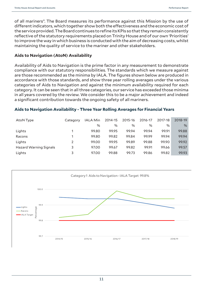of all mariners". The Board measures its performance against this Mission by the use of different indicators, which together show both the effectiveness and the economic cost of the service provided. The Board continues to refine its KPIs so that they remain consistently reflective of the statutory requirements placed on Trinity House and of our own 'Priorities' to improve the way in which business is conducted with the aim of decreasing costs, whilst maintaining the quality of service to the mariner and other stakeholders.

## **Aids to Navigation (AtoN) Availability**

Availability of Aids to Navigation is the prime factor in any measurement to demonstrate compliance with our statutory responsibilities. The standards which we measure against are those recommended as the minima by IALA. The figures shown below are produced in accordance with those standards, and show three year rolling averages under the various categories of Aids to Navigation and against the minimum availability required for each category. It can be seen that in all three categories, our service has exceeded those minima in all years covered by the review. We consider this to be a major achievement and indeed a significant contribution towards the ongoing safety of all mariners.

## **Aids to Navigation Availability - Three Year Rolling Averages for Financial Years**

| AtoN Type                     | Category | <b>IALA Min</b> | 2014-15 | 2015-16 | 2016-17 | 2017-18 | 2018-19 |
|-------------------------------|----------|-----------------|---------|---------|---------|---------|---------|
|                               |          | $\%$            | $\%$    | $\%$    | $\%$    | $\%$    | $\%$    |
| Lights                        |          | 99.80           | 99.95   | 99.94   | 99.94   | 99.91   | 99.88   |
| Racons                        |          | 99.80           | 99.82   | 99.84   | 99.99   | 99.94   | 99.94   |
| Lights                        | 2        | 99.00           | 99.95   | 99.89   | 99.88   | 99.90   | 99.92   |
| <b>Hazard Warning Signals</b> | 3        | 97.00           | 99.67   | 99.82   | 99.91   | 99.66   | 99.57   |
| Lights                        | 3        | 97.00           | 99.88   | 99.73   | 99.86   | 99.82   | 99.93   |

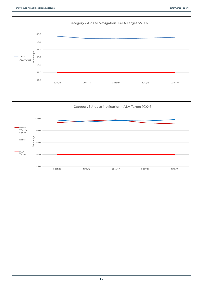

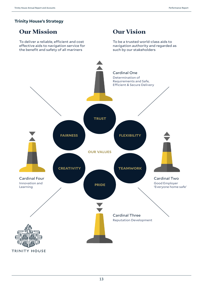## **Trinity House's Strategy**

# **Our Mission**

To deliver a reliable, efficient and cost effective aids to navigation service for the benefit and safety of all mariners

# **Our Vision**

To be a trusted world-class aids to navigation authority and regarded as such by our stakeholders

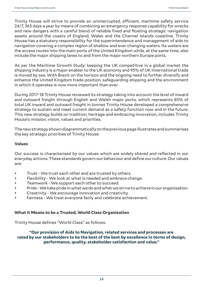Trinity House will strive to provide an uninterrupted, efficient, maritime safety service 24/7, 365 days a year by means of combining an emergency response capability for wrecks and new dangers with a careful blend of reliable fixed and floating strategic navigation assets around the coasts of England, Wales and the Channel Islands coastline. Trinity House has a statutory responsibility for the superintendence and management of aids to navigation covering a complex region of shallow and ever changing waters. Its waters are the access routes into the main ports of the United Kingdom while, at the same time, also include the major shipping lanes to and from the major northern Europe ports.

As per the Maritime Growth Study: keeping the UK competitive in a global market the shipping industry is a major enabler to the UK economy and 95% of UK International trade is moved by sea. With Brexit on the horizon and the ongoing need to further diversify and enhance the United Kingdom trade position, safeguarding shipping and the environment in which it operates is now more important than ever.

During 2017-18 Trinity House reviewed its strategy taking into account the level of inward and outward freight through English and Welsh major ports, which represents 85% of total UK inward and outward freight in tonnes Trinity House developed a comprehensive strategy to sustain and meet current demand as a safety function now and in the future. This new strategy builds on tradition, heritage and embracing innovation, includes Trinity House's mission, vision, values and priorities.

The new strategy shown diagrammatically on the previous page illustrates and summarises the key strategic priorities of Trinity House:

## **Values**

Our success is characterised by our values which are widely shared and reflected in our everyday actions. These standards govern our behaviour and define our culture. Our values are:

- Trust We trust each other and are trusted by others.
- Flexibility We look at what is needed and embrace change.
- Teamwork We support each other to succeed.
- Pride We take pride in what we do and what we strive to achieve in our organisation.
- Creativity We encourage innovation and creativity.
- Fairness We treat everyone fairly and celebrate achievement.

## **What it Means to be a Trusted, World Class Organisation**

Trinity House defines "World Class" as follows:

**"Our provision of Aids to Navigation, related services and processes are rated by our stakeholders to be the best of the best by excellence in terms of design, performance, quality, stakeholder satisfaction and value."**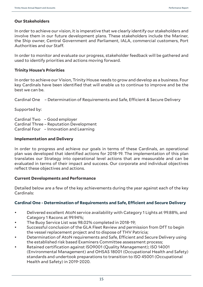## **Our Stakeholders**

In order to achieve our vision, it is imperative that we clearly identify our stakeholders and involve them in our future development plans. These stakeholders include the Mariner, the Ship owner, Central Government and Parliament, IALA, commercial customers, Port Authorities and our Staff.

In order to monitor and evaluate our progress, stakeholder feedback will be gathered and used to identify priorities and actions moving forward.

## **Trinity House's Priorities**

In order to achieve our Vision, Trinity House needs to grow and develop as a business. Four key Cardinals have been identified that will enable us to continue to improve and be the best we can be.

Cardinal One – Determination of Requirements and Safe, Efficient & Secure Delivery

Supported by:

Cardinal Two – Good employer Cardinal Three – Reputation Development Cardinal Four – Innovation and Learning

## **Implementation and Delivery**

In order to progress and achieve our goals in terms of these Cardinals, an operational plan was developed that identified actions for 2018-19. The implementation of this plan translates our Strategy into operational level actions that are measurable and can be evaluated in terms of their impact and success. Our corporate and individual objectives reflect these objectives and actions.

## **Current Developments and Performance**

Detailed below are a few of the key achievements during the year against each of the key Cardinals:

## **Cardinal One - Determination of Requirements and Safe, Efficient and Secure Delivery**

- Delivered excellent AtoN service availability with Category 1 Lights at 99.88%, and Category 1 Racons at 99.94%;
- The Buoy Service List was 98.02% completed in 2018-19;
- Successful conclusion of the GLA Fleet Review and permission from DfT to begin the vessel replacement project and to dispose of THV Patricia;
- Determination of AtoN requirements and Safe, Efficient and Secure Delivery using the established risk based Examiners Committee assessment process;
- Retained certification against ISO9001 (Quality Management); ISO 14001 (Environmental Management) and OHSAS 18001 (Occupational Health and Safety) standards and undertook preparations to transition to ISO 45001 (Occupational Health and Safety) in 2019-2020.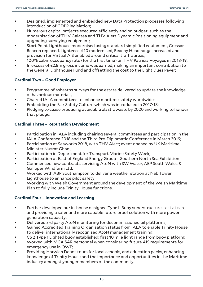- Designed, implemented and embedded new Data Protection processes following introduction of GDPR legislation;
- Numerous capital projects executed efficiently and on budget, such as the modernisation of THV Galatea and THV Alert Dynamic Positioning equipment and upgrading surveying equipment;
- Start Point Lighthouse modernised using standard simplified equipment, Cressar Beacon replaced, Lightvessel 10 modernised, Beachy Head range increased and provision for Virtual AIS enabled around critical traffic areas;
- 100% cabin occupancy rate (for the first time) on THV Patricia Voyages in 2018-19;
- In excess of £2.8m gross income was earned, making an important contribution to the General Lighthouse Fund and offsetting the cost to the Light Dues Payer;

# **Cardinal Two – Good Employer**

- Programme of asbestos surveys for the estate delivered to update the knowledge of hazardous materials;
- Chaired IALA committees to enhance maritime safety worldwide;
- Embedding the Fair Safety Culture which was introduced in 2017-18;
- Pledging to cease producing avoidable plastic waste by 2020 and working to honour that pledge.

# **Cardinal Three – Reputation Development**

- Participation in IALA including chairing several committees and participation in the IALA Conference 2018 and the Third Pre-Diplomatic Conference in March 2019;
- Participation at Seaworks 2018, with THV Alert; event opened by UK Maritime Minister Nusrat Ghani;
- Participation in Department for Transport Marine Safety Week;
- Participation at East of England Energy Group Southern North Sea Exhibition
- Commenced new contracts servicing AtoN with SW Water, ABP South Wales & Galloper Windfarm Ltd;
- Worked with ABP Southampton to deliver a weather station at Nab Tower Lighthouse to enhance pilot safety;
- Working with Welsh Government around the development of the Welsh Maritime Plan to fully include Trinity House functions.

# **Cardinal Four – Innovation and Learning**

- Further developed our in-house designed Type II Buoy superstructure, test at sea and providing a safer and more capable future proof solution with more power generation capacity;
- Delivered 3rd party AtoN monitoring for decommissioned oil platforms;
- Gained Accredited Training Organisation status from IALA to enable Trinity House to deliver internationally recognised AtoN management training;
- CS 2 Type 1 Lighted buoy established; first 10 mile light range from buoy platform;
- Worked with MCA SAR personnel when considering future AIS requirements for emergency use in OWF;
- Providing Harwich Depot tours for local schools, and education packs, enhancing knowledge of Trinity House and the importance and opportunities in the Maritime industry amongst younger members of the community.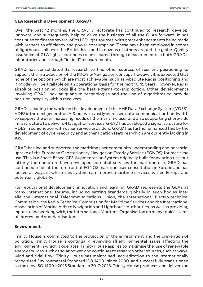## **GLA Research & Development (GRAD)**

Over the past 12 months, the GRAD Directorate has continued to research, develop, innovate, and subsequently help to drive the business of all the GLAs forward. It has continued to finesse several of its LED light sources, with great enhancements being made with respect to efficiency and power consumption. These have been employed in scores of lighthouses all over the British Isles and in dozens of others around the globe. Quality assurance of GLA lights continues to be secured through measurements in both GRAD's laboratories and through "in field" measurements.

GRAD has consolidated its research to find other sources of resilient positioning to support the introduction of the IMO's e-Navigation concept; however, it is expected that none of the options which are most achievable (such as Absolute Radar positioning and R-Mode) will be available on an operational basis for the next 10-15 years. However, Radar absolute positioning looks like the best external-to-ship option. Other developments involving GRAD look at quantum technologies and the use of algorithms to provide position integrity within receivers.

GRAD is leading the world on the development of the VHF Data Exchange System (VDES). VDES is the next generation AIS, but with vastly increased data-communication bandwidth to support the ever increasing needs of the maritime user and also supporting shore-side infrastructure to deliver e-Navigation services. GRAD has developed a signal structure for VDES in conjunction with other service providers. GRAD has further enhanced this by the development of cyber-security and authentication features which are currently lacking in AIS.

GRAD has led and supported the maritime user community understanding and potential uptake of the European Geostationary Navigation Overlay Service (EGNOS) for maritime use. This is a Space Based GPS Augmentation System originally built for aviation use, but latterly the operators have developed potential services for maritime use. GRAD has continued to be at the forefront of EGNOS maritime user consultation in Europe and has looked at ways in which this system can improve maritime services within Europe and potentially globally.

For reputational development, innovation and learning, GRAD represents the GLAs at many international forums, including setting standards globally in such bodies inter alia the International Telecommunications Union, the International Electro-technical Commission, the Radio Technical Commission for Maritime Services and the International Association of Marine Aids to Navigation and Lighthouse Authorities, as well as providing input to, and working with, the International Maritime Organisation on many topical items of interest and standardisation.

## **Environment**

Trinity House is committed to the protection of the environment and the prevention of pollution. Trinity House is continually reviewing all environmental issues affecting the environment in which it operates. Trinity House aspires to maximise the use of renewable energy sources, such as solar power, and continues to research other sources, such as wave, wind and tidal flow. Trinity House has maintained accreditation to the internationally recognised Environmental Standard ISO 14001 since 2000, and successfully transitioned to the new ISO 14001: 2015 Standard in 2017-2018. Trinity House produces and delivers an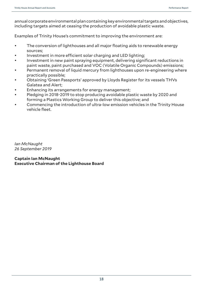annual corporate environmental plan containing key environmental targets and objectives, including targets aimed at ceasing the production of avoidable plastic waste.

Examples of Trinity House's commitment to improving the environment are:

- The conversion of lighthouses and all major floating aids to renewable energy sources;
- Investment in more efficient solar charging and LED lighting;
- Investment in new paint spraying equipment, delivering significant reductions in paint waste, paint purchased and VOC (Volatile Organic Compounds) emissions;
- Permanent removal of liquid mercury from lighthouses upon re-engineering where practically possible;
- Obtaining 'Green Passports' approved by Lloyds Register for its vessels THVs Galatea and Alert;
- Enhancing its arrangements for energy management;
- Pledging in 2018-2019 to stop producing avoidable plastic waste by 2020 and forming a Plastics Working Group to deliver this objective; and
- Commencing the introduction of ultra-low emission vehicles in the Trinity House vehicle fleet.

*Ian McNaught 26 September 2019*

**Captain Ian McNaught Executive Chairman of the Lighthouse Board**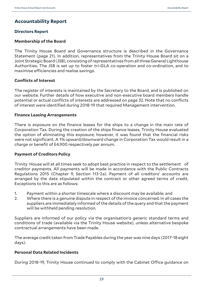# **Accountability Report**

## **Directors Report**

## **Membership of the Board**

The Trinity House Board and Governance structure is described in the Governance Statement (page 21). In addition, representatives from the Trinity House Board sit on a Joint Strategic Board (JSB), consisting of representatives from all three General Lighthouse Authorities. The JSB is set up to foster tri-GLA co-operation and co-ordination, and to maximise efficiencies and realise savings.

## **Conflicts of Interest**

The register of interests is maintained by the Secretary to the Board, and is published on our website. Further details of how executive and non-executive board members handle potential or actual conflicts of interests are addressed on page 32. Note that no conflicts of interest were identified during 2018-19 that required Management intervention.

## **Finance Leasing Arrangements**

There is exposure on the finance leases for the ships to a change in the main rate of Corporation Tax. During the creation of the ships finance leases, Trinity House evaluated the option of eliminating this exposure; however, it was found that the financial risks were not significant. A 1% upward/downward change in Corporation Tax would result in a charge or benefit of £4,900 respectively per annum.

## **Payment of Creditors Policy**

Trinity House will at all times seek to adopt best practice in respect to the settlement of creditor payments. All payments will be made in accordance with the Public Contracts Regulations 2015 (Chapter 9, Section 113-2a). Payment of all creditors' accounts are arranged by the date stipulated within the contract or other agreed terms of credit. Exceptions to this are as follows:

- 1. Payment within a shorter timescale where a discount may be available; and
- 2. Where there is a genuine dispute in respect of the invoice concerned. In all cases the suppliers are immediately informed of the details of the query and that the payment will be withheld pending resolution.

Suppliers are informed of our policy via the organisation's generic standard terms and conditions of trade (available via the Trinity House website), unless alternative bespoke contractual arrangements have been made.

The average credit taken from Trade Payables during the year was nine days (2017-18 eight days).

## **Personal Data Related Incidents**

During 2018-19, Trinity House continued to comply with the Cabinet Office guidance on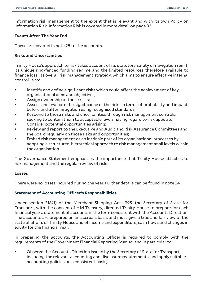information risk management to the extent that is relevant and with its own Policy on Information Risk. Information Risk is covered in more detail on page 32.

## **Events After The Year End**

These are covered in note 25 to the accounts.

## **Risks and Uncertainties**

Trinity House's approach to risk takes account of its statutory safety of navigation remit, its unique ring-fenced funding regime and the limited resources therefore available to finance loss. Its overall risk management strategy, which aims to ensure effective internal control, is to:

- Identify and define significant risks which could affect the achievement of key organisational aims and objectives;
- Assign ownership of those risks;
- Assess and evaluate the significance of the risks in terms of probability and impact before and after mitigation using recognised standards;
- Respond to those risks and uncertainties through risk management controls, seeking to contain them to acceptable levels having regard to risk appetite;
- Consider potential opportunities arising;
- Review and report to the Executive and Audit and Risk Assurance Committees and the Board regularly on those risks and opportunities;
- Embed risk management as an intrinsic part of its organisational processes by adopting a structured, hierarchical approach to risk management at all levels within the organisation.

The Governance Statement emphasises the importance that Trinity House attaches to risk management and the regular review of risks.

## **Losses**

There were no losses incurred during the year. Further details can be found in note 24.

# **Statement of Accounting Officer's Responsibilities**

Under section 218(1) of the Merchant Shipping Act 1995, the Secretary of State for Transport, with the consent of HM Treasury, directed Trinity House to prepare for each financial year a statement of accounts in the form consistent with the Accounts Direction. The accounts are prepared on an accruals basis and must give a true and fair view of the state of affairs of Trinity House and of income and expenditure, cash flows and changes in equity for the financial year.

In preparing the accounts, the Accounting Officer is required to comply with the requirements of the Government Financial Reporting Manual and in particular to:

• Observe the Accounts Direction issued by the Secretary of State for Transport, including the relevant accounting and disclosure requirements, and apply suitable accounting policies on a consistent basis;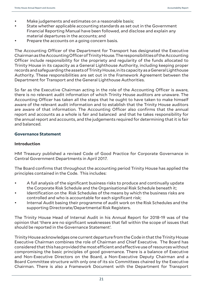- Make judgements and estimates on a reasonable basis;
- State whether applicable accounting standards as set out in the Government Financial Reporting Manual have been followed, and disclose and explain any material departures in the accounts; and
- Prepare the accounts on a going concern basis.

The Accounting Officer of the Department for Transport has designated the Executive Chairman as the Accounting Officer of Trinity House. The responsibilities of the Accounting Officer include responsibility for the propriety and regularity of the funds allocated to Trinity House in its capacity as a General Lighthouse Authority, including keeping proper records and safeguarding the assets of Trinity House, in its capacity as a General Lighthouse Authority. These responsibilities are set out in the Framework Agreement between the Department for Transport and the General Lighthouse Authorities.

So far as the Executive Chairman acting in the role of the Accounting Officer is aware, there is no relevant audit information of which Trinity House auditors are unaware. The Accounting Officer has taken all the steps that he ought to have taken to make himself aware of the relevant audit information and to establish that the Trinity House auditors are aware of that information. The Accounting Officer also confirms that the annual report and accounts as a whole is fair and balanced and that he takes responsibility for the annual report and accounts, and the judgements required for determining that it is fair and balanced.

## **Governance Statement**

## **Introduction**

HM Treasury published a revised Code of Good Practice for Corporate Governance in Central Government Departments in April 2017.

The Board confirms that throughout the accounting period Trinity House has applied the principles contained in the Code. This includes:

- A full analysis of the significant business risks to produce and continually update the Corporate Risk Schedule and the Organisational Risk Schedule beneath it;
- Identification on the Risk Schedules of the means by which the business risks are controlled and who is accountable for each significant risk;
- Internal Audit basing their programme of audit work on the Risk Schedules and the supporting Directorate/Departmental Risk Registers.

The Trinity House Head of Internal Audit in his Annual Report for 2018-19 was of the opinion that 'there are no significant weaknesses that fall within the scope of issues that should be reported in the Governance Statement'.

Trinity House acknowledges one current departure from the Code in that the Trinity House Executive Chairman combines the role of Chairman and Chief Executive. The Board has considered that this has provided the most efficient and effective use of resources without compromising the basic principles of good governance. There is a balance of Executive and Non-Executive Directors on the Board, a Non-Executive Deputy Chairman and a Board Committee structure with only one of its six Committees chaired by the Executive Chairman. There is also a Framework Document with the Department for Transport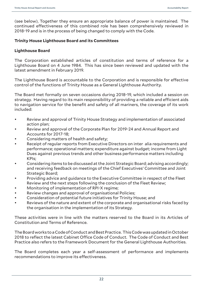(see below), Together they ensure an appropriate balance of power is maintained. The continued effectiveness of this combined role has been comprehensively reviewed in 2018-19 and is in the process of being changed to comply with the Code.

## **Trinity House Lighthouse Board and its Committees**

## **Lighthouse Board**

The Corporation established articles of constitution and terms of reference for a Lighthouse Board on 4 June 1984. This has since been reviewed and updated with the latest amendment in February 2019.

The Lighthouse Board is accountable to the Corporation and is responsible for effective control of the functions of Trinity House as a General Lighthouse Authority.

The Board met formally on seven occasions during 2018-19, which included a session on strategy. Having regard to its main responsibility of providing a reliable and efficient aids to navigation service for the benefit and safety of all mariners, the coverage of its work included:

- Review and approval of Trinity House Strategy and implementation of associated action plan;
- Review and approval of the Corporate Plan for 2019-24 and Annual Report and Accounts for 2017-18;
- Considering matters of health and safety;
- Receipt of regular reports from Executive Directors on inter alia requirements and performance; operational matters; expenditure against budget; income from Light Dues against previous trends and other business performance matters including KPIs;
- Considering items to be discussed at the Joint Strategic Board; advising accordingly; and receiving feedback on meetings of the Chief Executives' Committee and Joint Strategic Board;
- Providing advice and guidance to the Executive Committee in respect of the Fleet Review and the next steps following the conclusion of the Fleet Review;
- Monitoring of implementation of RPI-X regime;
- Review changes and approval of organisational Policies;
- Consideration of potential future initiatives for Trinity House; and
- Reviews of the nature and extent of the corporate and organisational risks faced by the organisation in the implementation of its Strategy.

These activities were in line with the matters reserved to the Board in its Articles of Constitution and Terms of Reference.

The Board works to a Code of Conduct and Best Practice. This Code was updated in October 2018 to reflect the latest Cabinet Office Code of Conduct. The Code of Conduct and Best Practice also refers to the Framework Document for the General Lighthouse Authorities.

The Board completes each year a self-assessment of performance and implements recommendations to improve its effectiveness.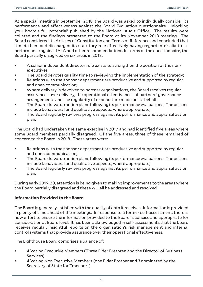At a special meeting in September 2018, the Board was asked to individually consider its performance and effectiveness against the Board Evaluation questionnaire 'Unlocking your board's full potential' published by the National Audit Office. The results were collated and the findings presented to the Board at its November 2018 meeting. The Board considered its Articles of Constitution and Terms of Reference and concluded that it met them and discharged its statutory role effectively having regard inter alia to its performance against IALA and other recommendations. In terms of the questionnaire, the Board partially disagreed on six areas in 2018:

- A senior independent director role exists to strengthen the position of the nonexecutives;
- The Board devotes quality time to reviewing the implementation of the strategy;
- Relations with the sponsor department are productive and supported by regular and open communication;
- Where delivery is devolved to partner organisations, the Board receives regular assurances over delivery, the operational effectiveness of partners' governance arrangements and the regularity of expenditure made on its behalf;
- The Board draws up action plans following its performance evaluations. The actions include behavioural and qualitative aspects, where appropriate;
- The Board regularly reviews progress against its performance and appraisal action plan.

The Board had undertaken the same exercise in 2017 and had identified five areas where some Board members partially disagreed. Of the five areas, three of these remained of concern to the Board in 2018. These areas were:

- Relations with the sponsor department are productive and supported by regular and open communication;
- The Board draws up action plans following its performance evaluations. The actions include behavioural and qualitative aspects, where appropriate;
- The Board regularly reviews progress against its performance and appraisal action plan.

During early 2019-20, attention is being given to making improvements to the areas where the Board partially disagreed and these will all be addressed and resolved.

# **Information Provided to the Board**

The Board is generally satisfied with the quality of data it receives. Information is provided in plenty of time ahead of the meetings. In response to a former self-assessment, there is now effort to ensure the information provided to the Board is concise and appropriate for consideration at Board level. It has been acknowledged in self-assessments that the board receives regular, insightful reports on the organisation's risk management and internal control systems that provide assurance over their operational effectiveness.

The Lighthouse Board comprises a balance of:

- 4 Voting Executive Members (Three Elder Brethren and the Director of Business Services)
- 4 Voting Non Executive Members (one Elder Brother and 3 nominated by the Secretary of State for Transport).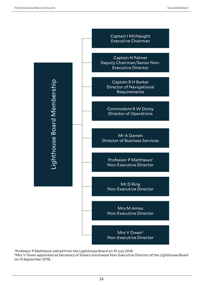

1 Professor P Matthews retired from the Lighthouse Board on 19 July 2018.

<sup>2</sup>Mrs V Owen appointed as Secretary of State's nominated Non-Executive Director of the Lighthouse Board on 14 September 2018.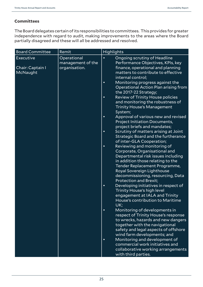## **Committees**

The Board delegates certain of its responsibilities to committees. This provides for greater independence with regard to audit, making improvements to the areas where the Board partially disagreed and these will all be addressed and resolved.

| <b>Board Committee</b>                    | Remit                                             | <b>Highlights</b>                                                                                                                                                                                                                                                                                                                                                                                                                                                                                                                                                                                                                                                                                                                                                                                                                                                                                                                                                                             |  |  |  |
|-------------------------------------------|---------------------------------------------------|-----------------------------------------------------------------------------------------------------------------------------------------------------------------------------------------------------------------------------------------------------------------------------------------------------------------------------------------------------------------------------------------------------------------------------------------------------------------------------------------------------------------------------------------------------------------------------------------------------------------------------------------------------------------------------------------------------------------------------------------------------------------------------------------------------------------------------------------------------------------------------------------------------------------------------------------------------------------------------------------------|--|--|--|
| Executive<br>Chair: Captain I<br>McNaught | Operational<br>management of the<br>organisation. | Ongoing scrutiny of Headline<br>$\bullet$<br>Performance Objectives, KPIs, key<br>finance, operational and planning<br>matters to contribute to effective<br>internal control;<br>Monitoring progress against the<br>$\bullet$<br>Operational Action Plan arising from<br>the 2017-22 Strategy;<br><b>Review of Trinity House policies</b><br>$\bullet$<br>and monitoring the robustness of<br><b>Trinity House's Management</b><br>System;<br>Approval of various new and revised<br>$\bullet$<br><b>Project Initiation Documents,</b><br>project briefs and mandates;<br>Scrutiny of matters arising at Joint<br>$\bullet$<br>Strategic Board and the furtherance<br>of inter-GLA Cooperation;<br>Reviewing and monitoring of<br>$\bullet$<br>Corporate, Organisational and<br>Departmental risk issues including<br>in addition those relating to the<br>Tender Replacement Programme,<br>Royal Sovereign Lighthouse<br>decommissioning, resourcing, Data<br><b>Protection and Brexit;</b> |  |  |  |
|                                           |                                                   | Developing initiatives in respect of<br>$\bullet$<br><b>Trinity House's high level</b><br>engagement at IALA and Trinity<br>House's contribution to Maritime<br>UK;<br>Monitoring of developments in<br>$\bullet$<br>respect of Trinity House's response<br>to wrecks, hazards and new dangers<br>together with the navigational<br>safety and legal aspects of offshore<br>wind farm developments; and<br>Monitoring and development of<br>$\bullet$<br>commercial work initiatives and<br>collaborative working arrangements<br>with third parties.                                                                                                                                                                                                                                                                                                                                                                                                                                         |  |  |  |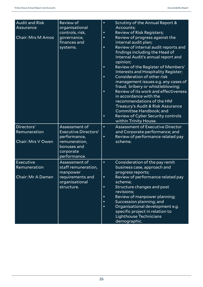| <b>Audit and Risk</b><br>Assurance | <b>Review of</b><br>organisational<br>controls, risk,        | $\bullet$<br>$\bullet$ | Scrutiny of the Annual Report &<br>Accounts;<br><b>Review of Risk Registers;</b>                                                                                                                 |
|------------------------------------|--------------------------------------------------------------|------------------------|--------------------------------------------------------------------------------------------------------------------------------------------------------------------------------------------------|
| <b>Chair: Mrs M Amos</b>           | governance,<br>finances and                                  | $\bullet$              | Review of progress against the<br>internal audit plan;                                                                                                                                           |
|                                    | systems.                                                     | $\bullet$              | Review of internal audit reports and<br>findings including the Head of<br>Internal Audit's annual report and<br>opinion;                                                                         |
|                                    |                                                              | $\bullet$              | Review of the Register of Members'<br>Interests and Hospitality Register;                                                                                                                        |
|                                    |                                                              | $\bullet$              | Consideration of other risk<br>management issues e.g. any cases of                                                                                                                               |
|                                    |                                                              | $\bullet$              | fraud, bribery or whistleblowing;<br>Review of its work and effectiveness<br>in accordance with the<br>recommendations of the HM<br>Treasury's Audit & Risk Assurance<br>Committee Handbook; and |
|                                    |                                                              | $\bullet$              | Review of Cyber Security controls<br>within Trinity House.                                                                                                                                       |
| Directors'<br>Remuneration         | Assessment of<br><b>Executive Directors'</b><br>performance, | $\bullet$<br>$\bullet$ | <b>Assessment of Executive Director</b><br>and Corporate performance; and<br>Review of performance related pay                                                                                   |
| <b>Chair: Mrs V Owen</b>           | remuneration,<br>bonuses and<br>corporate<br>performance.    |                        | scheme.                                                                                                                                                                                          |
| Executive<br>Remuneration          | Assessment of<br>staff remuneration,                         | $\bullet$              | Consideration of the pay remit<br>business case, approach and                                                                                                                                    |
| <b>Chair: Mr A Damen</b>           | manpower<br>requirements and<br>organisational               | $\bullet$              | progress reports;<br>Review of performance related pay<br>scheme;                                                                                                                                |
|                                    | structure.                                                   | $\bullet$              | Structure changes and post<br>revisions;                                                                                                                                                         |
|                                    |                                                              | $\bullet$<br>$\bullet$ | Review of manpower planning;<br>Succession planning; and                                                                                                                                         |
|                                    |                                                              | $\bullet$              | Organisational development e.g.<br>specific project in relation to<br>Lighthouse Technicians<br>demographic.                                                                                     |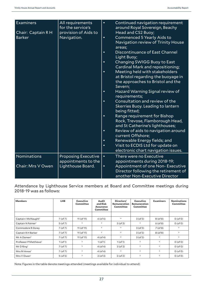| Examiners<br>Chair: Captain R H<br><b>Barker</b> | All requirements<br>for the service's<br>provision of Aids to<br>Navigation. | $\bullet$<br>$\bullet$<br>$\bullet$<br>$\bullet$ | Continued navigation requirement<br>around Royal Sovereign, Beachy<br>Head and CS2 Buoy;<br>Commenced 5 Yearly Aids to<br>Navigation review of Trinity House<br>areas;<br>Discontinuance of East Channel<br>Light Buoy;<br>Changing SWIGG Buoy to East<br>Cardinal Mark and repositioning;<br>Meeting held with stakeholders<br>at Bristol regarding the buoyage in |
|--------------------------------------------------|------------------------------------------------------------------------------|--------------------------------------------------|---------------------------------------------------------------------------------------------------------------------------------------------------------------------------------------------------------------------------------------------------------------------------------------------------------------------------------------------------------------------|
|                                                  |                                                                              |                                                  | the approaches to Bristol and the<br>Severn;<br>Hazard Warning Signal review of<br>requirements;                                                                                                                                                                                                                                                                    |
|                                                  |                                                                              | $\bullet$                                        | Consultation and review of the<br><b>Skerries Buoy. Leading to lantern</b><br>being fitted;                                                                                                                                                                                                                                                                         |
|                                                  |                                                                              | $\bullet$                                        | Range requirement for Bishop<br>Rock, Trevose, Flamborough Head,<br>and St Catherine's lighthouses;                                                                                                                                                                                                                                                                 |
|                                                  |                                                                              | $\bullet$<br>$\bullet$                           | Review of aids to navigation around<br>current Offshore;<br>Renewable Energy fields; and                                                                                                                                                                                                                                                                            |
|                                                  |                                                                              | $\bullet$                                        | Visit to ECDIS Ltd for update on<br>electronic chart navigation issues.                                                                                                                                                                                                                                                                                             |
| Nominations                                      | <b>Proposing Executive</b><br>appointments to the                            | $\bullet$                                        | There were no Executive<br>appointments during 2018-19;                                                                                                                                                                                                                                                                                                             |
| <b>Chair: Mrs V Owen</b>                         | Lighthouse Board.                                                            | $\bullet$                                        | Appointment of one Non- Executive<br>Director following the retirement of<br>another Non-Executive Director                                                                                                                                                                                                                                                         |

Attendance by Lighthouse Service members at Board and Committee meetings during 2018-19 was as follows:

| <b>Members</b>                    | <b>LHB</b>    | <b>Executive</b><br>Committee | Audit<br>and Risk<br><b>Assurance</b><br>Committee | Directors'<br><b>Remuneration</b><br>Committee | <b>Executive</b><br>Remuneration<br>Committee | <b>Examiners</b>                  | <b>Nominations</b><br>Committee |
|-----------------------------------|---------------|-------------------------------|----------------------------------------------------|------------------------------------------------|-----------------------------------------------|-----------------------------------|---------------------------------|
|                                   |               |                               |                                                    |                                                |                                               |                                   |                                 |
| Captain I McNaught <sup>2</sup>   | $7($ of $7)$  | $11($ of $11)$                | $4($ of 4 $)$                                      | $\star$                                        | $3($ of 3 $)$                                 | $8($ of $8)$                      | $0($ of 0 $)$                   |
| Captain N Palmer <sup>1</sup>     | $5($ of $7)$  | ÷.                            | $\mathcal{R}$                                      | $3($ of 3 $)$                                  | $\star$                                       | $6($ of 8 $)$                     | $0($ of 0 $)$                   |
| Commodore R Dorey                 | $7($ of $7)$  | $11($ of $11)$                | $\mathcal{R}$                                      | $\mathcal{R}$                                  | $3($ of 3 $)$                                 | $7($ of 8 $)$                     | $\approx$                       |
| Captain R H Barker                | $7($ of $7)$  | $11($ of $11)$                | $\mathcal{R}$                                      | $\mathcal{R}$                                  | $3($ of 3 $)$                                 | $8($ of $8)$                      | $\approx$                       |
| Mr A Damen <sup>2</sup>           | $7($ of $7)$  | $11($ of $11)$                | $4($ of 4 $)$                                      | $\star$                                        | $3($ of 3 $)$                                 | $\frac{d\mathbf{x}}{d\mathbf{x}}$ | $\approx$                       |
| Professor P Matthews <sup>1</sup> | $1($ of 1 $)$ | ÷.                            | $1($ of 1 $)$                                      | $1($ of 1 $)$                                  | $\star$                                       | $\mathcal{R}^{\mathcal{C}}$       | $0($ of 0 $)$                   |
| $Mr D$ Ring <sup>1</sup>          | $7($ of $7)$  | ÷.                            | $4($ of 4 $)$                                      | $3($ of 3 $)$                                  | $\approx$                                     | $\mathcal{R}^{\mathcal{C}}$       | $0($ of 0 $)$                   |
| Mrs M Amos <sup>1</sup>           | $7($ of $7)$  | ÷.                            | $4($ of 4 $)$                                      | $\mathcal{R}$                                  | $\star$                                       | $\mathcal{R}^{\mathcal{C}}$       | $0($ of 0 $)$                   |
| Mrs V Owen <sup>1</sup>           | $5($ of $5)$  | ÷.                            | $2($ of 3 $)$                                      | $2($ of 2 $)$                                  | $\approx$                                     | $\frac{d\mathbf{x}}{d\mathbf{x}}$ | $0($ of 0 $)$                   |

Note: Figures in the table denote meetings attended (meetings available for individual to attend)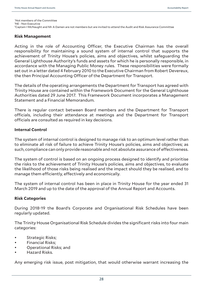\* Not members of the Committee 1 NE - Non Executive  $2C$ aptain I McNaught and Mr A Damen are not members but are invited to attend the Audit and Risk Assurance Committee

## **Risk Management**

Acting in the role of Accounting Officer, the Executive Chairman has the overall responsibility for maintaining a sound system of internal control that supports the achievement of Trinity House's policies, aims and objectives, whilst safeguarding the General Lighthouse Authority's funds and assets for which he is personally responsible, in accordance with the Managing Public Money rules. These responsibilities were formally set out in a letter dated 4 February 2010 to the Executive Chairman from Robert Devereux, the then Principal Accounting Officer of the Department for Transport.

The details of the operating arrangements the Department for Transport has agreed with Trinity House are contained within the Framework Document for the General Lighthouse Authorities dated 29 June 2017. This Framework Document incorporates a Management Statement and a Financial Memorandum.

There is regular contact between Board members and the Department for Transport officials, including their attendance at meetings and the Department for Transport officials are consulted as required in key decisions.

## **Internal Control**

The system of internal control is designed to manage risk to an optimum level rather than to eliminate all risk of failure to achieve Trinity House's policies, aims and objectives; as such, compliance can only provide reasonable and not absolute assurance of effectiveness.

The system of control is based on an ongoing process designed to identify and prioritise the risks to the achievement of Trinity House's policies, aims and objectives, to evaluate the likelihood of those risks being realised and the impact should they be realised, and to manage them efficiently, effectively and economically.

The system of internal control has been in place in Trinity House for the year ended 31 March 2019 and up to the date of the approval of the Annual Report and Accounts.

## **Risk Categories**

During 2018-19 the Board's Corporate and Organisational Risk Schedules have been regularly updated.

The Trinity House Organisational Risk Schedule divides the significant risks into four main categories:

- Strategic Risks;
- Financial Risks;
- Operational Risks; and
- Hazard Risks.

Any emerging risk issue, post mitigation, that would otherwise warrant increasing the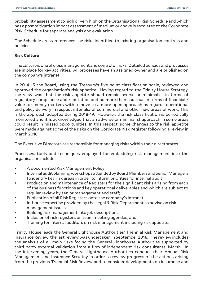probability assessment to high or very high on the Organisational Risk Schedule and which has a post mitigation impact assessment of medium or above is escalated to the Corporate Risk Schedule for separate analysis and evaluation.

The Schedule cross-references the risks identified to existing organisation controls and policies.

## **Risk Culture**

The culture is one of close management and control of risks. Detailed policies and processes are in place for key activities. All processes have an assigned owner and are published on the company's intranet.

In 2014-15 the Board, using the Treasury's five point classification scale, reviewed and approved the organisation's risk appetite. Having regard to the Trinity House Strategy, the view was that the risk appetite should remain averse or minimalist in terms of regulatory compliance and reputation and no more than cautious in terms of financial / value for money matters with a move to a more open approach as regards operational and policy delivery in respect inter alia of commercial and other new areas of work. This is the approach adopted during 2018-19. However, the risk classification is periodically monitored and it is acknowledged that an adverse or minimalist approach in some areas could result in missed opportunities. In this respect, some changes to the risk appetite were made against some of the risks on the Corporate Risk Register following a review in March 2018.

The Executive Directors are responsible for managing risks within their directorates.

Processes, tools and techniques employed for embedding risk management into the organisation include:

- A documented Risk Management Policy;
- Internal audit planning workshops attended by Board Members and Senior Managers to identify key risk areas in order to inform priorities for internal audit;
- Production and maintenance of Registers for the significant risks arising from each of the business functions and key operational deliverables and which are subject to regular review by senior management and staff;
- Publication of all Risk Registers onto the company's intranet;
- In-house expertise provided by the Legal & Risk Department to advise on risk management issues;
- Building risk management into job descriptions;
- Inclusion of risk registers on team meeting agendas; and
- Training for internal auditors on risk management including risk appetite.

Trinity House leads the General Lighthouse Authorities' Triennial Risk Management and Insurance Review, the last review was undertaken in September 2018. The review includes the analysis of all main risks facing the General Lighthouse Authorities supported by third party external validation from a firm of independent risk consultants, Marsh. In the intervening years, the General Lighthouse Authorities conduct their Annual Risk Management and Insurance Scrutiny in order to review progress of the actions arising from the previous Triennial Risk Review and to consider developments on insurance and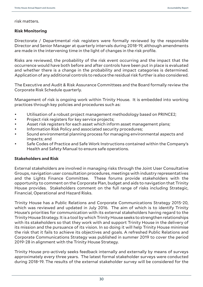risk matters.

## **Risk Monitoring**

Directorate / Departmental risk registers were formally reviewed by the responsible Director and Senior Manager at quarterly intervals during 2018-19, although amendments are made in the intervening time in the light of changes in the risk profile.

Risks are reviewed, the probability of the risk event occurring and the impact that the occurrence would have both before and after controls have been put in place is evaluated and whether there is a change in the probability and impact categories is determined. Application of any additional controls to reduce the residual risk further is also considered.

The Executive and Audit & Risk Assurance Committees and the Board formally review the Corporate Risk Schedule quarterly.

Management of risk is ongoing work within Trinity House. It is embedded into working practices through key policies and procedures such as:

- Utilisation of a robust project management methodology based on PRINCE2;
- Project risk registers for key service projects;
- Asset risk registers for each asset which inform asset management plans;
- Information Risk Policy and associated security procedures;
- Sound environmental planning process for managing environmental aspects and impacts; and
- Safe Codes of Practice and Safe Work Instructions contained within the Company's Health and Safety Manual to ensure safe operations.

## **Stakeholders and Risk**

External stakeholders are involved in managing risks through the Joint User Consultative Groups, navigation user consultation procedures, meetings with industry representatives and the Lights Finance Committee. These forums provide stakeholders with the opportunity to comment on the Corporate Plan, budget and aids to navigation that Trinity House provides. Stakeholders comment on the full range of risks including Strategic, Financial, Operational and Hazard Risks.

Trinity House has a Public Relations and Corporate Communications Strategy 2015-20, which was reviewed and updated in July 2016. The aim of which is to identify Trinity House's priorities for communication with its external stakeholders having regard to the Trinity House Strategy. It is a tool by which Trinity House seeks to strengthen relationships with its stakeholders so that they work with and support Trinity House in the delivery of its mission and the pursuance of its vision. In so doing it will help Trinity House minimise the risk that it fails to achieve its objectives and goals. A refreshed Public Relations and Corporate Communications Strategy was published in summer 2019 to cover the period 2019-28 in alignment with the Trinity House Strategy.

Trinity House pro-actively seeks feedback internally and externally by means of surveys approximately every three years. The latest formal stakeholder surveys were conducted during 2018-19. The results of the external stakeholder survey will be considered for the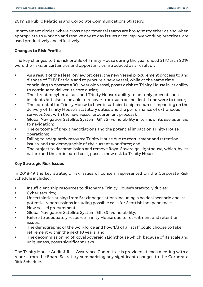2019-28 Public Relations and Corporate Communications Strategy.

Improvement circles, where cross departmental teams are brought together as and when appropriate to work on and resolve day to day issues or to improve working practices, are used productively and effectively.

## **Changes to Risk Profile**

The key changes to the risk profile of Trinity House during the year ended 31 March 2019 were the risks, uncertainties and opportunities introduced as a result of:

- As a result of the Fleet Review process, the new vessel procurement process to and dispose of THV Patricia and to procure a new vessel, while at the same time continuing to operate a 30+ year old vessel, poses a risk to Trinity House in its ability to continue to deliver its core duties;
- The threat of cyber-attack and Trinity House's ability to not only prevent such incidents but also to be able to recover from such an incident if one were to occur;
- The potential for Trinity House to have insufficient ship resources impacting on the delivery of Trinity House's statutory duties and the performance of extraneous services (out with the new vessel procurement process);
- Global Navigation Satellite System (GNSS) vulnerability in terms of its use as an aid to navigation;
- The outcome of Brexit negotiations and the potential impact on Trinity House operations;
- Failing to adequately resource Trinity House due to recruitment and retention issues, and the demographic of the current workforce; and
- The project to decommission and remove Royal Sovereign Lighthouse, which, by its nature and the anticipated cost, poses a new risk to Trinity House.

## **Key Strategic Risk Issues**

In 2018-19 the key strategic risk issues of concern represented on the Corporate Risk Schedule included:

- Insufficient ship resources to discharge Trinity House's statutory duties;
- Cyber security;
- Uncertainties arising from Brexit negotiations including a no deal scenario and its potential repercussions including possible calls for Scottish independence;
- New vessel procurement:
- Global Navigation Satellite System (GNSS) vulnerability;
- Failure to adequately resource Trinity House due to recruitment and retention issues;
- The demographic of the workforce and how 1/3 of all staff could choose to take retirement within the next 10 years; and
- The decommissioning of Royal Sovereign Lighthouse which, because of its scale and uniqueness, poses significant risks.

The Trinity House Audit & Risk Assurance Committee is provided at each meeting with a report from the Board Secretary summarising any significant changes to the Corporate Risk Schedule.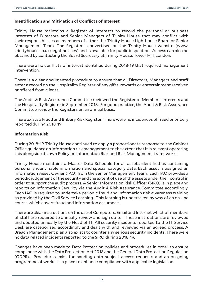## **Identification and Mitigation of Conflicts of Interest**

Trinity House maintains a Register of Interests to record the personal or business interests of Directors and Senior Managers of Trinity House that may conflict with their responsibilities as members of either the Trinity House Lighthouse Board or Senior Management Team. The Register is advertised on the Trinity House website (www. trinityhouse.co.uk/legal-notices) and is available for public inspection. Access can also be obtained by contacting the Board Secretary at Trinity House, Tower Hill, London.

There were no conflicts of interest identified during 2018-19 that required management intervention.

There is a clear documented procedure to ensure that all Directors, Managers and staff enter a record on the Hospitality Register of any gifts, rewards or entertainment received or offered from clients.

The Audit & Risk Assurance Committee reviewed the Register of Members' Interests and the Hospitality Register in September 2018. For good practice, the Audit & Risk Assurance Committee review the Registers on an annual basis.

There exists a Fraud and Bribery Risk Register. There were no incidences of fraud or bribery reported during 2018-19.

## **Information Risk**

During 2018-19 Trinity House continued to apply a proportionate response to the Cabinet Office guidance on information risk management to the extent that it is relevant operating this alongside its own Policy on Information Risk and Risk Management framework.

Trinity House maintains a Master Data Schedule for all assets identified as containing personally identifiable information and special category data. Each asset is assigned an Information Asset Owner (IAO) from the Senior Management Team. Each IAO provides a periodic judgement of the security and the extent of use of the assets under their control in order to support the audit process. A Senior Information Risk Officer (SIRO) is in place and reports on Information Security via the Audit & Risk Assurance Committee accordingly. Each IAO is required to undertake periodic fraud and information risk awareness training as provided by the Civil Service Learning. This learning is undertaken by way of an on-line course which covers fraud and information assurance.

There are clear instructions on the use of Computers, Email and Internet which all members of staff are required to annually review and sign up to. These instructions are reviewed and updated annually by the Head of IT. All security incidents reported to the IT Service Desk are categorised accordingly and dealt with and reviewed via an agreed process. A Breach Management plan also exists to counter any serious security incidents. There were no data related incidents reported to the SIRO during 2018-19.

Changes have been made to Data Protection policies and procedures in order to ensure compliance with the Data Protection Act 2018 and the General Data Protection Regulation (GDPR). Procedures exist for handing data subject access requests and an on-going programme of works is in place to enhance compliance with applicable legislation.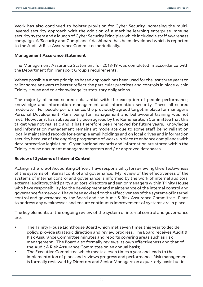Work has also continued to bolster provision for Cyber Security increasing the multilayered security approach with the addition of a machine learning enterprise immune security system and a launch of Cyber Security Principles which included a staff awareness campaign. A 'Security and Compliance' dashboard has been developed which is reported to the Audit & Risk Assurance Committee periodically.

## **Management Assurance Statement**

The Management Assurance Statement for 2018-19 was completed in accordance with the Department for Transport Group's requirements.

Where possible a more principles based approach has been used for the last three years to tailor some answers to better reflect the particular practices and controls in place within Trinity House and to acknowledge its statutory obligations.

The majority of areas scored substantial with the exception of people performance, knowledge and information management and information security. These all scored moderate. For people performance, the previously agreed target in place for manager's Personal Development Plans being for management and behavioural training was not met. However, it has subsequently been agreed by the Remuneration Committee that this target was not realistic and it has therefore been removed for future years. Knowledge and information management remains at moderate due to some staff being reliant on locally maintained records for example email holdings and on local drives and information security because of the ongoing programme of works in place to enhance compliance with data protection legislation. Organisational records and information are stored within the Trinity House document management system and / or approved databases.

## **Review of Systems of Internal Control**

Acting in the role of Accounting Officer, I have responsibility for reviewing the effectiveness of the systems of internal control and governance. My review of the effectiveness of the systems of internal control and governance is informed by the work of internal auditors, external auditors, third party auditors, directors and senior managers within Trinity House who have responsibility for the development and maintenance of the internal control and governance framework. I have been advised on the effectiveness of the systems of internal control and governance by the Board and the Audit & Risk Assurance Committee. Plans to address any weaknesses and ensure continuous improvement of systems are in place.

The key elements of the ongoing review of the system of internal control and governance are:

- The Trinity House Lighthouse Board which met seven times this year to decide policy, provide strategic direction and review progress. The Board receives Audit & Risk Assurance Committee minutes and reports covering areas such as risk management. The Board also formally reviews its own effectiveness and that of the Audit & Risk Assurance Committee on an annual basis;
- The Executive Committee which meets eleven times a year and leads to the implementation of plans and reviews progress and performance. Risk management is formally reviewed by Directors and Senior Managers on a quarterly basis but in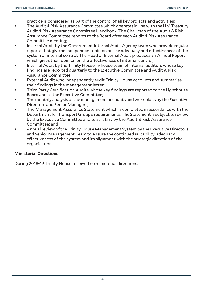practice is considered as part of the control of all key projects and activities;

- The Audit & Risk Assurance Committee which operates in line with the HM Treasury Audit & Risk Assurance Committee Handbook. The Chairman of the Audit & Risk Assurance Committee reports to the Board after each Audit & Risk Assurance Committee meeting;
- Internal Audit by the Government Internal Audit Agency team who provide regular reports that give an independent opinion on the adequacy and effectiveness of the system of internal control. The Head of Internal Audit produces an Annual Report which gives their opinion on the effectiveness of internal control;
- Internal Audit by the Trinity House in-house team of internal auditors whose key findings are reported quarterly to the Executive Committee and Audit & Risk Assurance Committee;
- External Audit who independently audit Trinity House accounts and summarise their findings in the management letter;
- Third Party Certification Audits whose key findings are reported to the Lighthouse Board and to the Executive Committee;
- The monthly analysis of the management accounts and work plans by the Executive Directors and Senior Managers;
- The Management Assurance Statement which is completed in accordance with the Department for Transport Group's requirements. The Statement is subject to review by the Executive Committee and to scrutiny by the Audit & Risk Assurance Committee; and
- Annual review of the Trinity House Management System by the Executive Directors and Senior Management Team to ensure the continued suitability, adequacy, effectiveness of the system and its alignment with the strategic direction of the organisation.

## **Ministerial Directions**

During 2018-19 Trinity House received no ministerial directions.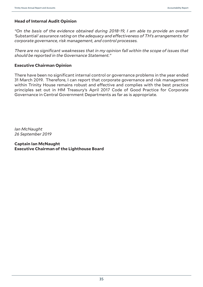## **Head of Internal Audit Opinion**

*"On the basis of the evidence obtained during 2018-19, I am able to provide an overall '*Substantial*' assurance rating on the adequacy and effectiveness of TH's arrangements for corporate governance, risk management, and control processes.* 

*There are no significant weaknesses that in my opinion fall within the scope of issues that should be reported in the Governance Statement."*

## **Executive Chairman Opinion**

There have been no significant internal control or governance problems in the year ended 31 March 2019. Therefore, I can report that corporate governance and risk management within Trinity House remains robust and effective and complies with the best practice principles set out in HM Treasury's April 2017 Code of Good Practice for Corporate Governance in Central Government Departments as far as is appropriate.

*Ian McNaught 26 September 2019*

**Captain Ian McNaught Executive Chairman of the Lighthouse Board**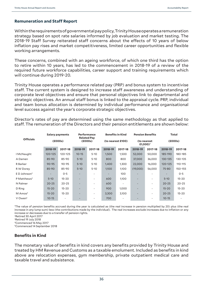# **Remuneration and Staff Report**

Within the requirements of governmental pay policy, Trinity House operates a remuneration strategy based on spot rate salaries informed by job evaluation and market testing. The 2018-19 Staff Survey reiterated staff concerns about the effects of 10 years of below inflation pay rises and market competitiveness, limited career opportunities and flexible working arrangements.

These concerns, combined with an ageing workforce, of which one third has the option to retire within 10 years, has led to the commencement in 2018-19 of a review of the required future workforce capabilities, career support and training requirements which will continue during 2019-20.

Trinity House operates a performance related pay (PRP) and bonus system to incentivise staff. The current system is designed to increase staff awareness and understanding of corporate level objectives and ensure that personal objectives link to departmental and strategic objectives. An annual staff bonus is linked to the appraisal cycle. PRP, individual and team bonus allocation is determined by individual performance and organisational level success against the year's corporate strategic objectives.

Director's rates of pay are determined using the same methodology as that applied to staff. The remuneration of the Directors and their pension entitlements are shown below:

|                            |           | <b>Salary payments</b> |                               | <b>Performance</b> |         | <b>Benefits in Kind</b> |                                     | <b>Pension Benefits</b> |           | Total     |
|----------------------------|-----------|------------------------|-------------------------------|--------------------|---------|-------------------------|-------------------------------------|-------------------------|-----------|-----------|
| <b>Officials</b>           |           | (£000s)                | <b>Related Pav</b><br>(£000s) |                    |         | (to nearest £100)       | (to nearest<br>£1,000) <sup>1</sup> |                         | (£000s)   |           |
|                            | 2018-19   | 2017-18                | 2018-19                       | 2017-18            | 2018-19 | 2017-18                 | 2018-19                             | 2017-18                 | 2018-19   | 2017-18   |
| I McNaught                 | 120-125   | 120-125                | $10 - 15$                     | $5 - 10$           | 1,500   | 1,500                   | 52,000                              | 50,000                  | 185-190   | 180-185   |
| A Damen                    | 85-90     | 85-90                  | $5 - 10$                      | $5 - 10$           | 800     | 800                     | 37,000                              | 36,000                  | 130-135   | 130-135   |
| R Barker                   | $90 - 95$ | $90 - 95$              | $5 - 10$                      | $5 - 10$           | 1,400   | 1,300                   | 22,000                              | 16,000                  | 120-125   | 110-115   |
| R W Dorey                  | 85-90     | 85-90                  | $5 - 10$                      | $5 - 10$           | 1,100   | 1,100                   | (19,000)                            | 56,000                  | 75-80     | 150-155   |
| $E$ D Johnson <sup>2</sup> |           | $O - 5$                |                               |                    |         | 100                     |                                     |                         |           | $O - 5$   |
| P Matthews <sup>3</sup>    | $5 - 10$  | $15 - 20$              | ٠                             | ۰                  | 600     | 1,100                   | $\overline{\phantom{a}}$            | ۰                       | $5 - 10$  | $15 - 20$ |
| N Palmer                   | $20 - 25$ | $20 - 25$              | ٠                             | ٠                  | 600     |                         | $\overline{\phantom{a}}$            | ۰                       | $20 - 25$ | $20 - 25$ |
| D Ring                     | $15 - 20$ | $15 - 20$              |                               | ٠                  | 900     | 1,000                   | $\overline{\phantom{a}}$            |                         | $15 - 20$ | $15 - 20$ |
| $M$ Amos <sup>4</sup>      | $15 - 20$ | $15 - 20$              | ٠                             | ٠                  | 3,300   | 3,100                   | $\overline{\phantom{a}}$            | ۰                       | $20 - 25$ | $15 - 20$ |
| V Owen <sup>5</sup>        | $10 - 15$ |                        |                               |                    | 700     |                         |                                     |                         | $10 - 15$ |           |

1 The value of pension benefits accrued during the year is calculated as (the real increase in pension multiplied by 20) plus (the real increase in any lump sum) less (the contributions made by the individual). The real increases exclude increases due to inflation or any increase or decreases due to a transfer of pension rights.

5Commenced 14 September 2018

# **Benefits in Kind**

The monetary value of benefits in kind covers any benefits provided by Trinity House and treated by HM Revenue and Customs as a taxable emolument. Included as benefits in kind above are relocation expenses, gym membership, private outpatient medical care and taxable travel and subsistence.

<sup>2</sup>Retired 30 April 2017

<sup>3</sup> Retired 19 July 2018 4Commenced 16 May 2017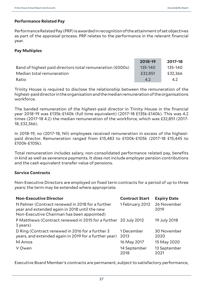# **Performance Related Pay**

Performance Related Pay (PRP) is awarded in recognition of the attainment of set objectives as part of the appraisal process. PRP relates to the performance in the relevant financial year.

### **Pay Multiples**

|                                                           | 2018-19     | 2017-18 |
|-----------------------------------------------------------|-------------|---------|
| Band of highest paid directors total remuneration (£000s) | $135 - 140$ | 135-140 |
| Median total remuneration                                 | £32.851     | £32,366 |
| Ratio                                                     | 4.2         | 4.2     |

Trinity House is required to disclose the relationship between the remuneration of the highest-paid director in the organisation and the median remuneration of the organisations workforce.

The banded remuneration of the highest-paid director in Trinity House in the financial year 2018-19 was £135k-£140k (full time equivalent) (2017-18 £135k-£140k). This was 4.2 times (2017-18 4.2) the median remuneration of the workforce, which was £32,851 (2017- 18, £32,366).

In 2018-19, no (2017-18, Nil) employees received remuneration in excess of the highestpaid director. Remuneration ranged from £15,483 to £100k-£105k (2017-18 £15,445 to £100k-£105k).

Total remuneration includes salary, non-consolidated performance related pay, benefits in kind as well as severance payments. It does not include employer pension contributions and the cash equivalent transfer value of pensions.

# **Service Contracts**

Non-Executive Directors are employed on fixed term contracts for a period of up to three years; the term may be extended where appropriate.

| <b>Non-Executive Director</b>                                                                                                                   | <b>Contract Start</b> | <b>Expiry Date</b>   |
|-------------------------------------------------------------------------------------------------------------------------------------------------|-----------------------|----------------------|
| N Palmer (Contract renewed in 2018 for a further<br>year and extended again in 2018 until the new<br>Non-Executive Chairman has been appointed) | 1 February 2012       | 26 November<br>2019  |
| P Matthews (Contract renewed in 2015 for a further 20 July 2012<br>3 years)                                                                     |                       | 19 July 2018         |
| D Ring (Contract renewed in 2016 for a further 3<br>years, and extended again in 2019 for a further year)                                       | 1 December<br>2013    | 30 November<br>2020  |
| M Amos                                                                                                                                          | 16 May 2017           | 15 May 2020          |
| V Owen                                                                                                                                          | 14 September<br>2018  | 13 September<br>2021 |

Executive Board Member's contracts are permanent, subject to satisfactory performance,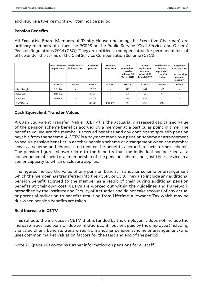and require a twelve month written notice period.

#### **Pension Benefits**

All Executive Board Members of Trinity House (including the Executive Chairman) are ordinary members of either the PCSPS or the Public Service (Civil Service and Others) Pension Regulations 2014 (CSO). They are entitled to compensation for permanent loss of office under the terms of the Civil Service Compensation Scheme (CSCS).

|            | <b>Real increase</b><br>in pensions | <b>Real increase</b><br>in lump sum | Accrued<br>pension | Accrued<br>lump sum | Cash<br>equivalent<br>transfer<br>value at 31<br><b>March 2018</b> | Cash<br>equivalent<br>transfer<br>value at 31<br><b>March 2019</b> | <b>Real increase</b><br>in cash<br>equivalent<br>transfer<br>value | <b>Employer</b><br>contribution<br>to<br>partnership<br>pension<br>account |
|------------|-------------------------------------|-------------------------------------|--------------------|---------------------|--------------------------------------------------------------------|--------------------------------------------------------------------|--------------------------------------------------------------------|----------------------------------------------------------------------------|
|            | £000s                               | £000s                               | £000s              | £000s               | £000s                                                              | £000s                                                              | £000s                                                              | £000s                                                                      |
| I McNaught | $2.5 - 5.0$                         | ٠                                   | $25 - 30$          |                     | 373                                                                | 462                                                                | 47                                                                 |                                                                            |
| A Damen    | $0.0 - 2.5$                         | $\overline{\phantom{a}}$            | $5 - 10$           | $\overline{a}$      | 39                                                                 | 69                                                                 | 17                                                                 |                                                                            |
| R Barker   | $0.0 - 2.5$                         | ٠                                   | $20 - 25$          |                     | 364                                                                | 412                                                                | 21                                                                 |                                                                            |
| R W Dorey  | $\overline{\phantom{a}}$            | ٠                                   | $40 - 45$          | 130-135             | 881                                                                | 958                                                                | (18)                                                               |                                                                            |

#### **Cash Equivalent Transfer Values**

A Cash Equivalent Transfer Value (CETV) is the actuarially assessed capitalised value of the pension scheme benefits accrued by a member at a particular point in time. The benefits valued are the member's accrued benefits and any contingent spouse's pension payable from the scheme. A CETV is a payment made by a pension scheme or arrangement to secure pension benefits in another pension scheme or arrangement when the member leaves a scheme and chooses to transfer the benefits accrued in their former scheme. The pension figures shown relate to the benefits that the individual has accrued as a consequence of their total membership of the pension scheme, not just their service in a senior capacity to which disclosure applies.

The figures include the value of any pension benefit in another scheme or arrangement which the member has transferred into the PCSPS or CSO. They also include any additional pension benefit accrued to the member as a result of their buying additional pension benefits at their own cost. CETVs are worked out within the guidelines and framework prescribed by the Institute and Faculty of Actuaries and do not take account of any actual or potential reduction to benefits resulting from Lifetime Allowance Tax which may be due when pension benefits are taken.

#### **Real Increase in CETV**

This reflects the increase in CETV that is funded by the employer. It does not include the increase in accrued pension due to inflation, contributions paid by the employee (including the value of any benefits transferred from another pension scheme or arrangement) and uses common market valuation factors for the start and end of the period.

Note 20 (page 70) contains further information on pensions for all staff.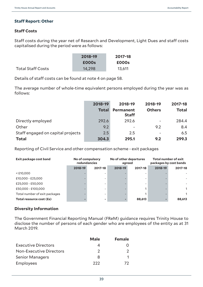# **Staff Report: Other**

# **Staff Costs**

Staff costs during the year net of Research and Development, Light Dues and staff costs capitalised during the period were as follows:

|                          | 2018-19 | 2017-18 |
|--------------------------|---------|---------|
|                          | £000s   | £000s   |
| <b>Total Staff Costs</b> | 14,298  | 13,611  |

Details of staff costs can be found at note 4 on page 58.

The average number of whole-time equivalent persons employed during the year was as follows:

|                                   | 2018-19      | 2018-19                   | 2018-19                  | 2017-18      |
|-----------------------------------|--------------|---------------------------|--------------------------|--------------|
|                                   | <b>Total</b> | Permanent<br><b>Staff</b> | <b>Others</b>            | <b>Total</b> |
| Directly employed                 | 292.6        | 292.6                     | $\overline{\phantom{a}}$ | 284.4        |
| Other                             | 9.2          | $\overline{\phantom{a}}$  | 9.2                      | 8.4          |
| Staff engaged on capital projects | 2.5          | 2.5                       |                          | 6.5          |
| <b>Total</b>                      | 304.3        | 295.1                     | 9.2                      | 299.3        |

Reporting of Civil Service and other compensation scheme - exit packages

| Exit package cost band        | No of compulsory<br>redundancies |         | agreed  | No of other departures | <b>Total number of exit</b><br>packages by cost bands |              |  |
|-------------------------------|----------------------------------|---------|---------|------------------------|-------------------------------------------------------|--------------|--|
|                               | 2018-19                          | 2017-18 | 2018-19 | 2017-18                | 2018-19                                               | 2017-18      |  |
| $<$ £10,000                   |                                  |         |         |                        |                                                       |              |  |
| £10,000 - £25,000             |                                  |         |         |                        |                                                       |              |  |
| £25,000 - £50,000             |                                  |         |         |                        |                                                       |              |  |
| £50,000 - £100,000            |                                  |         |         |                        |                                                       | $\mathbf{1}$ |  |
| Total number of exit packages |                                  |         |         |                        |                                                       |              |  |
| Total resource cost (£s)      |                                  |         |         | 88,613                 |                                                       | 88,613       |  |

# **Diversity Information**

The Government Financial Reporting Manual (FReM) guidance requires Trinity House to disclose the number of persons of each gender who are employees of the entity as at 31 March 2019.

|                                | <b>Male</b> | <b>Female</b> |
|--------------------------------|-------------|---------------|
| <b>Executive Directors</b>     |             |               |
| <b>Non-Executive Directors</b> | 2           |               |
| <b>Senior Managers</b>         | 8           |               |
| Employees                      | つつつ         | 72            |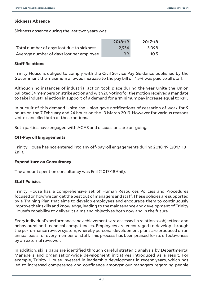### **Sickness Absence**

Sickness absence during the last two years was:

|                                           | 2018-19 | 2017-18 |
|-------------------------------------------|---------|---------|
| Total number of days lost due to sickness | 2.934   | 3.098   |
| Average number of days lost per employee  | 9.9     | 10.5    |

#### **Staff Relations**

Trinity House is obliged to comply with the Civil Service Pay Guidance published by the Government the maximum allowed increase to the pay bill of 1.5% was paid to all staff.

Although no instances of industrial action took place during the year Unite the Union balloted 34 members on strike action and with 20 voting for the motion received a mandate to take industrial action in support of a demand for a 'minimum pay increase equal to RPI'.

In pursuit of this demand Unite the Union gave notifications of cessation of work for 9 hours on the 7 February and 24 hours on the 13 March 2019. However for various reasons Unite cancelled both of these actions.

Both parties have engaged with ACAS and discussions are on-going.

#### **Off-Payroll Engagements**

Trinity House has not entered into any off-payroll engagements during 2018-19 (2017-18 £nil).

#### **Expenditure on Consultancy**

The amount spent on consultancy was £nil (2017-18 £nil).

# **Staff Policies**

Trinity House has a comprehensive set of Human Resources Policies and Procedures focused on how we can get the best out of managers and staff. These policies are supported by a Training Plan that aims to develop employees and encourage them to continuously improve their skills and knowledge, leading to the maintenance and development of Trinity House's capability to deliver its aims and objectives both now and in the future.

Every individual's performance and achievements are assessed in relation to objectives and behavioural and technical competencies. Employees are encouraged to develop through the performance review system, whereby personal development plans are produced on an annual basis for every member of staff. This process has been praised for its effectiveness by an external reviewer.

In addition, skills gaps are identified through careful strategic analysis by Departmental Managers and organisation-wide development initiatives introduced as a result. For example, Trinity House invested in leadership development in recent years, which has led to increased competence and confidence amongst our managers regarding people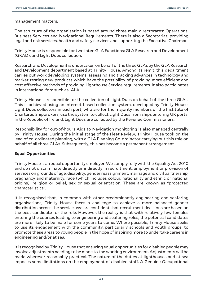management matters.

The structure of the organisation is based around three main directorates: Operations, Business Services and Navigational Requirements. There is also a Secretariat, providing legal and risk services, health and safety services and supporting the Executive Chairman.

Trinity House is responsible for two inter-GLA Functions: GLA Research and Development (GRAD), and Light Dues collection.

Research and Development is undertaken on behalf of the three GLAs by the GLA Research and Development department based at Trinity House. Among its remit, this department carries out work developing systems, assessing and tracking advances in technology and market testing new products which have the possibility of providing more efficient and cost effective methods of providing Lighthouse Service requirements. It also participates in international fora such as IALA.

Trinity House is responsible for the collection of Light Dues on behalf of the three GLAs. This is achieved using an internet-based collection system, developed by Trinity House. Light Dues collectors in each port, who are for the majority members of the Institute of Chartered Shipbrokers, use the system to collect Light Dues from ships entering UK ports. In the Republic of Ireland, Light Dues are collected by the Revenue Commissioners.

Responsibility for out-of-hours Aids to Navigation monitoring is also managed centrally by Trinity House. During the initial stage of the Fleet Review, Trinity House took on the lead of co-ordinated planning, with a GLA Planning Co-ordinator carrying out this role on behalf of all three GLAs. Subsequently, this has become a permanent arrangement.

#### **Equal Opportunities**

Trinity House is an equal opportunity employer. We comply fully with the Equality Act 2010 and do not discriminate directly or indirectly in recruitment, employment or provision of services on grounds of age, disability, gender reassignment, marriage and civil partnership, pregnancy and maternity, race (which includes colour, nationality and ethnic or national origins), religion or belief, sex or sexual orientation. These are known as "protected characteristics".

It is recognised that, in common with other predominantly engineering and seafaring organisations, Trinity House faces a challenge to achieve a more balanced gender distribution across the service. We are confident that recruitment decisions are based on the best candidate for the role. However, the reality is that with relatively few females entering the courses leading to engineering and seafaring roles, the potential candidates are more likely to be male for some years to come. Where possible, Trinity House seeks to use its engagement with the community, particularly schools and youth groups, to promote these areas to young people in the hope of inspiring more to undertake careers in engineering and/or at sea.

It is recognised by Trinity House that ensuring equal opportunities for disabled people may involve adjustments needing to be made to the working environment. Adjustments will be made wherever reasonably practical. The nature of the duties at lighthouses and at sea imposes some limitations on the employment of disabled staff. A Genuine Occupational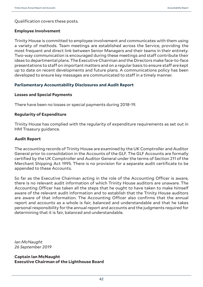Qualification covers these posts.

#### **Employee Involvement**

Trinity House is committed to employee involvement and communicates with them using a variety of methods. Team meetings are established across the Service, providing the most frequent and direct link between Senior Managers and their teams in their entirety. Two-way communication is encouraged during these meetings and staff contribute their ideas to departmental plans. The Executive Chairman and the Directors make face-to-face presentations to staff on important matters and on a regular basis to ensure staff are kept up to date on recent developments and future plans. A communications policy has been developed to ensure key messages are communicated to staff in a timely manner.

# **Parliamentary Accountability Disclosures and Audit Report**

#### **Losses and Special Payments**

There have been no losses or special payments during 2018-19.

#### **Regularity of Expenditure**

Trinity House has complied with the regularity of expenditure requirements as set out in HM Treasury guidance.

#### **Audit Report**

The accounting records of Trinity House are examined by the UK Comptroller and Auditor General prior to consolidation in the Accounts of the GLF. The GLF Accounts are formally certified by the UK Comptroller and Auditor General under the terms of Section 211 of the Merchant Shipping Act 1995. There is no provision for a separate audit certificate to be appended to these Accounts.

So far as the Executive Chairman acting in the role of the Accounting Officer is aware, there is no relevant audit information of which Trinity House auditors are unaware. The Accounting Officer has taken all the steps that he ought to have taken to make himself aware of the relevant audit information and to establish that the Trinity House auditors are aware of that information. The Accounting Officer also confirms that the annual report and accounts as a whole is fair, balanced and understandable and that he takes personal responsibility for the annual report and accounts and the judgments required for determining that it is fair, balanced and understandable.

*Ian McNaught 26 September 2019*

**Captain Ian McNaught Executive Chairman of the Lighthouse Board**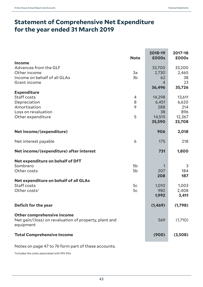the control of the control of the

# **Statement of Comprehensive Net Expenditure for the year ended 31 March 2019**

|                                                                    | <b>Note</b>    | 2018-19<br>£000s | 2017-18<br>£000s |
|--------------------------------------------------------------------|----------------|------------------|------------------|
| <b>Income</b>                                                      |                |                  |                  |
| Advances from the GLF                                              |                | 33,700           | 33,200           |
| Other income                                                       | 3a             | 2,730            | 2,465            |
| Income on behalf of all GLAs                                       | 3 <sub>b</sub> | 62               | 38               |
| Grant income                                                       |                | $\overline{4}$   | 23               |
|                                                                    |                | 36,496           | 35,726           |
| <b>Expenditure</b>                                                 |                |                  |                  |
| Staff costs                                                        | 4              | 14,298           | 13,611           |
| Depreciation                                                       | 8              | 6,451            | 6,620            |
| Amortisation                                                       | 9              | 288              | 214              |
| Loss on revaluation                                                |                | 38               | 896              |
| Other expenditure                                                  | 5              | 14,515           | 12,367           |
|                                                                    |                | 35,590           | 33,708           |
| Net income/(expenditure)                                           |                | 906              | 2,018            |
| Net interest payable                                               | 6              | 175              | 218              |
| Net income/(expenditure) after interest                            |                | 731              | 1,800            |
| Net expenditure on behalf of DfT                                   |                |                  |                  |
| Sombrero                                                           | 5b             | 1                | 3                |
| Other costs                                                        | 5b             | 207              | 184              |
|                                                                    |                | 208              | 187              |
| Net expenditure on behalf of all GLAs                              |                |                  |                  |
| Staff costs                                                        | 5c             | 1,010            | 1,003            |
| Other costs <sup>1</sup>                                           | 5c             | 982              | 2,408            |
|                                                                    |                | 1,992            | 3,411            |
| Deficit for the year                                               |                | (1, 469)         | (1,798)          |
|                                                                    |                |                  |                  |
| Other comprehensive income                                         |                |                  |                  |
| Net gain/(loss) on revaluation of property, plant and<br>equipment |                | 569              | (1,710)          |
| <b>Total Comprehensive Income</b>                                  |                | (900)            | (3,508)          |

Notes on page 47 to 76 form part of these accounts.

1 Includes the costs associated with MV Ella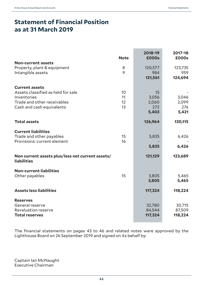# **Statement of Financial Position as at 31 March 2019**

|                                                                        | <b>Note</b> | 2018-19<br><b>£000s</b> | 2017-18<br>£000s |
|------------------------------------------------------------------------|-------------|-------------------------|------------------|
| <b>Non-current assets</b>                                              |             |                         |                  |
| Property, plant & equipment<br>Intangible assets                       | 8<br>9      | 120,577<br>984          | 123,735<br>959   |
|                                                                        |             | 121,561                 | 124,694          |
| <b>Current assets</b>                                                  |             |                         |                  |
| Assets classified as held for sale                                     | 10          | 15                      |                  |
| Inventories                                                            | 11          | 3,056                   | 3,046            |
| Trade and other receivables                                            | 12          | 2,060                   | 2,099            |
| Cash and cash equivalents                                              | 13          | 272                     | 276              |
|                                                                        |             | 5,403                   | 5,421            |
| <b>Total assets</b>                                                    |             | 126,964                 | 130,115          |
| <b>Current liabilities</b>                                             |             |                         |                  |
| Trade and other payables                                               | 15          | 5,835                   | 6,426            |
| Provisions: current element                                            | 16          |                         |                  |
|                                                                        |             | 5,835                   | 6,426            |
| Non current assets plus/less net current assets/<br><b>liabilities</b> |             | 121,129                 | 123,689          |
| <b>Non-current liabilities</b>                                         |             |                         |                  |
| Other payables                                                         | 15          | 3,805                   | 5,465            |
|                                                                        |             | 3,805                   | 5,465            |
| <b>Assets less liabilities</b>                                         |             | 117,324                 | 118,224          |
| <b>Reserves</b>                                                        |             |                         |                  |
| General reserve                                                        |             | 32,780                  | 30,715           |
| <b>Revaluation reserve</b>                                             |             | 84,544                  | 87,509           |
| <b>Total reserves</b>                                                  |             | 117,324                 | 118,224          |

The financial statements on pages 43 to 46 and related notes were approved by the Lighthouse Board on 26 September 2019 and signed on its behalf by:

Captain Ian McNaught Executive Chairman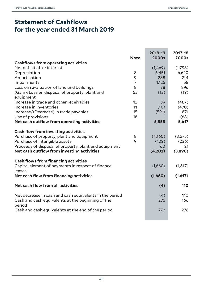# **Statement of Cashflows for the year ended 31 March 2019**

|                                                                                                              | <b>Note</b>    | 2018-19<br><b>£000s</b> | 2017-18<br>£000s |
|--------------------------------------------------------------------------------------------------------------|----------------|-------------------------|------------------|
| <b>Cashflows from operating activities</b>                                                                   |                |                         |                  |
| Net deficit after interest                                                                                   |                | (1,469)                 | (1,798)          |
| Depreciation                                                                                                 | 8              | 6,451                   | 6,620            |
| Amortisation                                                                                                 | 9              | 288                     | 214              |
| Impairments                                                                                                  | $\overline{7}$ | 1,125                   | 58               |
| Loss on revaluation of land and buildings                                                                    | 8              | 38                      | 896              |
| (Gain)/Loss on disposal of property, plant and<br>equipment                                                  | 5a             | (13)                    | (19)             |
| Increase in trade and other receivables                                                                      | 12             | 39                      | (487)            |
| Increase in inventories                                                                                      | 11             | (10)                    | (470)            |
| Increase/(Decrease) in trade payables                                                                        | 15             | (591)                   | 671              |
| Use of provisions                                                                                            | 16             |                         | (68)             |
| Net cash outflow from operating activities                                                                   |                | 5,858                   | 5,617            |
| <b>Cash flow from investing activities</b>                                                                   |                |                         |                  |
| Purchase of property, plant and equipment                                                                    | 8              | (4,160)                 | (3,675)          |
| Purchase of intangible assets                                                                                | 9              | (102)                   | (236)            |
| Proceeds of disposal of property, plant and equipment                                                        |                | 60                      | 21               |
| Net cash outflow from investing activities                                                                   |                | (4,202)                 | (3,890)          |
| <b>Cash flows from financing activities</b>                                                                  |                |                         |                  |
| Capital element of payments in respect of finance<br>leases                                                  |                | (1,660)                 | (1,617)          |
| Net cash flow from financing activities                                                                      |                | (1,660)                 | (1,617)          |
| Net cash flow from all activities                                                                            |                | (4)                     | 110              |
| Net decrease in cash and cash equivalents in the period<br>Cash and cash equivalents at the beginning of the |                | (4)<br>276              | 110<br>166       |
| period<br>Cash and cash equivalents at the end of the period                                                 |                | 272                     | 276              |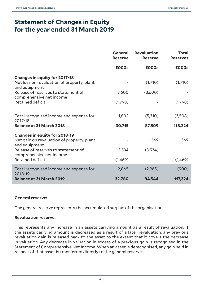# **Statement of Changes in Equity for the year ended 31 March 2019**

|                                                                 | <b>General</b><br><b>Reserve</b> | <b>Revaluation</b><br><b>Reserve</b> | <b>Total</b><br><b>Reserves</b> |
|-----------------------------------------------------------------|----------------------------------|--------------------------------------|---------------------------------|
|                                                                 | £000s                            | £000s                                | £000s                           |
| <b>Changes in equity for 2017-18</b>                            |                                  |                                      |                                 |
| Net loss on revaluation of property, plant<br>and equipment     |                                  | (1,710)                              | (1,710)                         |
| Release of reserves to statement of<br>comprehensive net income | 3,600                            | (3,600)                              |                                 |
| <b>Retained deficit</b>                                         | (1,798)                          |                                      | (1,798)                         |
| Total recognised income and expense for<br>2017-18              | 1,802                            | (5,310)                              | (3,508)                         |
| <b>Balance at 31 March 2018</b>                                 | 30,715                           | 87,509                               | 118,224                         |
| <b>Changes in equity for 2018-19</b>                            |                                  |                                      |                                 |
| Net gain on revaluation of property, plant<br>and equipment     |                                  | 569                                  | 569                             |
| Release of reserves to statement of<br>comprehensive net income | 3,534                            | (3,534)                              |                                 |
| Retained deficit                                                | (1,469)                          |                                      | (1,469)                         |
| Total recognised income and expense for<br>2018-19              | 2,065                            | (2,965)                              | (900)                           |
| <b>Balance at 31 March 2019</b>                                 | 32,780                           | 84,544                               | 117,324                         |

# **General reserve:**

The general reserve represents the accumulated surplus of the organisation.

#### **Revaluation reserve:**

This represents any increase in an assets carrying amount as a result of revaluation. If the assets carrying amount is decreased as a result of a later revaluation, any previous revaluation gain is released back to the asset to the extent that it covers the decrease in valuation. Any decrease in valuation in excess of a previous gain is recognised in the Statement of Comprehensive Net Income. When an asset is derecognised, any gain held in respect of that asset is transferred directly to the general reserve.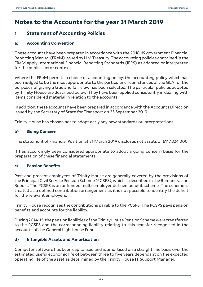# **Notes to the Accounts for the year 31 March 2019**

# **1 Statement of Accounting Policies**

# **a) Accounting Convention**

These accounts have been prepared in accordance with the 2018-19 government Financial Reporting Manual (FReM) issued by HM Treasury. The accounting policies contained in the FReM apply International Financial Reporting Standards (IFRS) as adapted or interpreted for the public sector context.

Where the FReM permits a choice of accounting policy, the accounting policy which has been judged to be the most appropriate to the particular circumstances of the GLA for the purposes of giving a true and fair view has been selected. The particular policies adopted by Trinity House are described below. They have been applied consistently in dealing with items considered material in relation to the accounts.

In addition, these accounts have been prepared in accordance with the Accounts Direction issued by the Secretary of State for Transport on 25 September 2019.

Trinity House has chosen not to adopt early any new standards or interpretations.

# **b) Going Concern**

The statement of Financial Position at 31 March 2019 discloses net assets of £117,324,000.

It has accordingly been considered appropriate to adopt a going concern basis for the preparation of these financial statements.

# **c) Pension Benefits**

Past and present employees of Trinity House are generally covered by the provisions of the Principal Civil Service Pension Scheme (PCSPS), which is described in the Remuneration Report. The PCSPS is an unfunded multi-employer defined benefit scheme. The scheme is treated as a defined contribution arrangement as it is not possible to identify the deficit for the relevant employers.

Trinity House recognises the contributions payable to the PCSPS. The PCSPS pays pension benefits and accounts for the liability.

During 2014-15, the pension liabilities of the Trinity House Pension Scheme were transferred to the PCSPS and the corresponding liability relating to this transfer recognised in the accounts of the General Lighthouse Fund.

# **d) Intangible Assets and Amortisation**

Computer software has been capitalised and is amortised on a straight line basis over the estimated useful economic life of between three to five years dependant on the expected operating life of the asset as determined by the Trinity House IT Support Manager.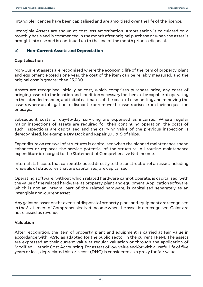Intangible licences have been capitalised and are amortised over the life of the licence.

Intangible Assets are shown at cost less amortisation. Amortisation is calculated on a monthly basis and is commenced in the month after original purchase or when the asset is brought into use and is continued up to the end of the month prior to disposal.

# **e) Non-Current Assets and Depreciation**

# **Capitalisation**

Non-Current assets are recognised where the economic life of the item of property, plant and equipment exceeds one year, the cost of the item can be reliably measured, and the original cost is greater than £5,000.

Assets are recognised initially at cost, which comprises purchase price, any costs of bringing assets to the location and condition necessary for them to be capable of operating in the intended manner, and initial estimates of the costs of dismantling and removing the assets where an obligation to dismantle or remove the assets arises from their acquisition or usage.

Subsequent costs of day-to-day servicing are expensed as incurred. Where regular major inspections of assets are required for their continuing operation, the costs of such inspections are capitalised and the carrying value of the previous inspection is derecognised, for example Dry Dock and Repair (DD&R) of ships.

Expenditure on renewal of structures is capitalised when the planned maintenance spend enhances or replaces the service potential of the structure. All routine maintenance expenditure is charged to the Statement of Comprehensive Net Income.

Internal staff costs that can be attributed directly to the construction of an asset, including renewals of structures that are capitalised, are capitalised.

Operating software, without which related hardware cannot operate, is capitalised, with the value of the related hardware, as property, plant and equipment. Application software, which is not an integral part of the related hardware, is capitalised separately as an intangible non-current asset.

Any gains or losses on the eventual disposal of property, plant and equipment are recognised in the Statement of Comprehensive Net Income when the asset is derecognised. Gains are not classed as revenue.

# **Valuation**

After recognition, the item of property, plant and equipment is carried at Fair Value in accordance with IAS16 as adapted for the public sector in the current FReM. The assets are expressed at their current value at regular valuation or through the application of Modified Historic Cost Accounting. For assets of low value and/or with a useful life of five years or less, depreciated historic cost (DHC) is considered as a proxy for fair value.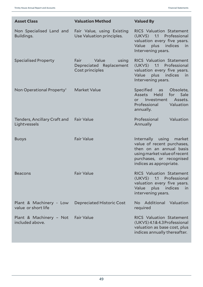| <b>Asset Class</b>                             | <b>Valuation Method</b>                                              | <b>Valued By</b>                                                                                                                                                           |
|------------------------------------------------|----------------------------------------------------------------------|----------------------------------------------------------------------------------------------------------------------------------------------------------------------------|
| Non Specialised Land and<br>Buildings.         | Fair Value, using Existing<br>Use Valuation principles.              | <b>RICS Valuation Statement</b><br>(UKVS)<br>1.1<br>Professional<br>valuation every five years.<br>plus indices<br>Value<br>in<br>Intervening years.                       |
| <b>Specialised Property</b>                    | Fair<br>Value<br>using<br>Depreciated Replacement<br>Cost principles | <b>RICS Valuation Statement</b><br>Professional<br>1.1<br>(UKVS)<br>valuation every five years.<br>Value<br>plus<br>indices<br>in<br>Intervening years.                    |
| Non Operational Property <sup>1</sup>          | <b>Market Value</b>                                                  | Specified<br>Obsolete,<br>as<br>Sale<br>Assets Held<br>for<br>Assets.<br>Investment<br>or.<br>Professional<br>Valuation<br>annually.                                       |
| Tenders, Ancillary Craft and<br>Lightvessels   | <b>Fair Value</b>                                                    | Professional<br>Valuation<br>Annually                                                                                                                                      |
| <b>Buoys</b>                                   | <b>Fair Value</b>                                                    | Internally using<br>market<br>value of recent purchases,<br>then on an annual basis<br>using market value of recent<br>purchases, or recognised<br>indices as appropriate. |
| <b>Beacons</b>                                 | <b>Fair Value</b>                                                    | <b>RICS Valuation Statement</b><br>(UKVS) 1.1 Professional<br>valuation every five years.<br>plus indices<br>Value<br>in<br>intervening years.                             |
| Plant & Machinery - Low<br>value or short life | Depreciated Historic Cost                                            | No Additional Valuation<br>required                                                                                                                                        |
| Plant & Machinery - Not<br>included above.     | <b>Fair Value</b>                                                    | <b>RICS Valuation Statement</b><br>(UKVS) 4.1& 4.3 Professional<br>valuation as base cost, plus<br>indices annually thereafter.                                            |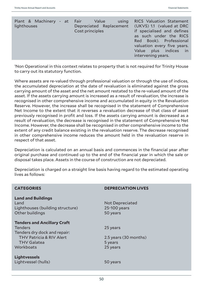| Plant & Machinery - at Fair Value<br>lighthouses | using<br>Depreciated Replacement<br>Cost principles | <b>RICS Valuation Statement</b><br>(UKVS) 1.1 (valued at DRC<br>if specialised and defines<br>as such under the RICS<br>Red Book). Professional<br>valuation every five years.<br>Value plus indices in<br>intervening years. |
|--------------------------------------------------|-----------------------------------------------------|-------------------------------------------------------------------------------------------------------------------------------------------------------------------------------------------------------------------------------|
|                                                  |                                                     |                                                                                                                                                                                                                               |

1 Non Operational in this context relates to property that is not required for Trinity House to carry out its statutory function.

Where assets are re-valued through professional valuation or through the use of indices, the accumulated depreciation at the date of revaluation is eliminated against the gross carrying amount of the asset and the net amount restated to the re-valued amount of the asset. If the assets carrying amount is increased as a result of revaluation, the increase is recognised in other comprehensive income and accumulated in equity in the Revaluation Reserve. However, the increase shall be recognised in the statement of Comprehensive Net Income to the extent that it reverses a revaluation decrease of that class of asset previously recognised in profit and loss. If the assets carrying amount is decreased as a result of revaluation, the decrease is recognised in the statement of Comprehensive Net Income. However, the decrease shall be recognised in other comprehensive income to the extent of any credit balance existing in the revaluation reserve. The decrease recognised in other comprehensive income reduces the amount held in the revaluation reserve in respect of that asset.

Depreciation is calculated on an annual basis and commences in the financial year after original purchase and continued up to the end of the financial year in which the sale or disposal takes place. Assets in the course of construction are not depreciated.

Depreciation is charged on a straight line basis having regard to the estimated operating lives as follows:

| <b>CATEGORIES</b>                                                                         | <b>DEPRECIATION LIVES</b>                          |
|-------------------------------------------------------------------------------------------|----------------------------------------------------|
| <b>Land and Buildings</b><br>Land<br>Lighthouses (building structure)<br>Other buildings  | <b>Not Depreciated</b><br>25-100 years<br>50 years |
| <b>Tenders and Ancillary Craft</b><br><b>Tenders</b>                                      | 25 years                                           |
| Tenders dry dock and repair:<br><b>THV Patricia &amp; RIV Alert</b><br><b>THV Galatea</b> | 2.5 years (30 months)<br>5 years                   |
| Workboats                                                                                 | 25 years                                           |
| <b>Lightvessels</b><br>Lightvessel (hulls)                                                | 50 years                                           |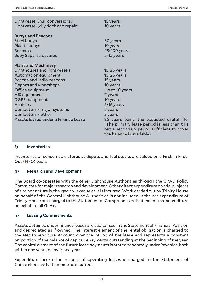| Lightvessel (hull conversions)<br>Lightvessel (dry dock and repair) | 15 years<br>10 years                                                                                                                                                |
|---------------------------------------------------------------------|---------------------------------------------------------------------------------------------------------------------------------------------------------------------|
| <b>Buoys and Beacons</b>                                            |                                                                                                                                                                     |
| Steel buoys                                                         | 50 years                                                                                                                                                            |
| Plastic buoys                                                       | 10 years                                                                                                                                                            |
| <b>Beacons</b>                                                      | 25-100 years                                                                                                                                                        |
| <b>Buoy Superstructures</b>                                         | 5-15 years                                                                                                                                                          |
| <b>Plant and Machinery</b>                                          |                                                                                                                                                                     |
| Lighthouses and lightvessels                                        | $15-25$ years                                                                                                                                                       |
| Automation equipment                                                | $15-25$ years                                                                                                                                                       |
| Racons and radio beacons                                            | 15 years                                                                                                                                                            |
| Depots and workshops                                                | 10 years                                                                                                                                                            |
| Office equipment                                                    | Up to 10 years                                                                                                                                                      |
| AIS equipment                                                       | 7 years                                                                                                                                                             |
| <b>DGPS</b> equipment                                               | 10 years                                                                                                                                                            |
| <b>Vehicles</b>                                                     | 5-15 years                                                                                                                                                          |
| Computers - major systems                                           | 5 years                                                                                                                                                             |
| Computers - other                                                   | 3 years                                                                                                                                                             |
| Assets leased under a Finance Lease                                 | 25 years being the expected useful life.<br>(The primary lease period is less than this<br>but a secondary period sufficient to cover<br>the balance is available). |

# **f) Inventories**

Inventories of consumable stores at depots and fuel stocks are valued on a First-In First-Out (FIFO) basis.

# **g) Research and Development**

The Board co-operates with the other Lighthouse Authorities through the GRAD Policy Committee for major research and development. Other direct expenditure on trial projects of a minor nature is charged to revenue as it is incurred. Work carried out by Trinity House on behalf of the General Lighthouse Authorities is not included in the net expenditure of Trinity House but charged to the Statement of Comprehensive Net Income as expenditure on behalf of all GLA's.

# **h) Leasing Commitments**

Assets obtained under finance leases are capitalised in the Statement of Financial Position and depreciated as if owned. The interest element of the rental obligation is charged to the Net Expenditure Account over the period of the lease and represents a constant proportion of the balance of capital repayments outstanding at the beginning of the year. The capital element of the future lease payments is stated separately under Payables, both within one year and over one year.

Expenditure incurred in respect of operating leases is charged to the Statement of Comprehensive Net Income as incurred.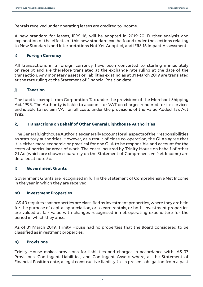Rentals received under operating leases are credited to income.

A new standard for leases, IFRS 16, will be adopted in 2019-20. Further analysis and explanation of the effects of this new standard can be found under the sections relating to New Standards and Interpretations Not Yet Adopted, and IFRS 16 Impact Assessment.

# **i) Foreign Currency**

All transactions in a foreign currency have been converted to sterling immediately on receipt and are therefore translated at the exchange rate ruling at the date of the transaction. Any monetary assets or liabilities existing as at 31 March 2019 are translated at the rate ruling at the Statement of Financial Position date.

# **j) Taxation**

The fund is exempt from Corporation Tax under the provisions of the Merchant Shipping Act 1995. The Authority is liable to account for VAT on charges rendered for its services and is able to reclaim VAT on all costs under the provisions of the Value Added Tax Act 1983.

# **k) Transactions on Behalf of Other General Lighthouse Authorities**

The General Lighthouse Authorities generally account for all aspects of their responsibilities as statutory authorities. However, as a result of close co-operation, the GLAs agree that it is either more economic or practical for one GLA to be responsible and account for the costs of particular areas of work. The costs incurred by Trinity House on behalf of other GLAs (which are shown separately on the Statement of Comprehensive Net Income) are detailed at note 5c.

# **l) Government Grants**

Government Grants are recognised in full in the Statement of Comprehensive Net Income in the year in which they are received.

#### **m) Investment Properties**

IAS 40 requires that properties are classified as investment properties, where they are held for the purpose of capital appreciation, or to earn rentals, or both. Investment properties are valued at fair value with changes recognised in net operating expenditure for the period in which they arise.

As of 31 March 2019, Trinity House had no properties that the Board considered to be classified as investment properties.

# **n) Provisions**

Trinity House makes provisions for liabilities and charges in accordance with IAS 37 Provisions, Contingent Liabilities, and Contingent Assets where, at the Statement of Financial Position date, a legal constructive liability (i.e. a present obligation from a past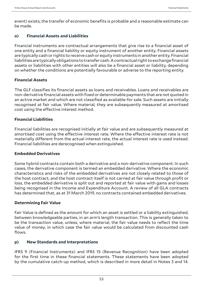event) exists, the transfer of economic benefits is probable and a reasonable estimate can be made.

# **o) Financial Assets and Liabilities**

Financial instruments are contractual arrangements that give rise to a financial asset of one entity and a financial liability or equity instrument of another entity. Financial assets are typically cash or rights to receive cash or equity instruments in another entity. Financial liabilities are typically obligations to transfer cash. A contractual right to exchange financial assets or liabilities with other entities will also be a financial asset or liability, depending on whether the conditions are potentially favourable or adverse to the reporting entity.

#### **Financial Assets**

The GLF classifies its financial assets as loans and receivables. Loans and receivables are non-derivative financial assets with fixed or determinable payments that are not quoted in an active market and which are not classified as available-for sale. Such assets are initially recognised at fair value. Where material, they are subsequently measured at amortised cost using the effective interest method.

#### **Financial Liabilities**

Financial liabilities are recognised initially at fair value and are subsequently measured at amortised cost using the effective interest rate. Where the effective interest rate is not materially different from the actual interest rate, the actual interest rate is used instead. Financial liabilities are derecognised when extinguished.

#### **Embedded Derivatives**

Some hybrid contracts contain both a derivative and a non-derivative component. In such cases, the derivative component is termed an embedded derivative. Where the economic characteristics and risks of the embedded derivatives are not closely related to those of the host contract, and the host contract itself is not carried at fair value through profit or loss, the embedded derivative is split out and reported at fair value with gains and losses being recognised in the Income and Expenditure Account. A review of all GLA contracts has determined that, as at 31 March 2019, no contracts contained embedded derivatives.

# **Determining Fair Value**

Fair Value is defined as the amount for which an asset is settled or a liability extinguished, between knowledgeable parties, in an arm's length transaction. This is generally taken to be the transaction value, unless, where material, the fair value needs to reflect the time value of money, in which case the fair value would be calculated from discounted cash flows.

# **p) New Standards and Interpretations**

IFRS 9 (Financial Instruments) and IFRS 15 (Revenue Recognition) have been adopted for the first time in these financial statements. These statements have been adopted by the cumulative catch-up method, which is described in more detail in Notes 3 and 14.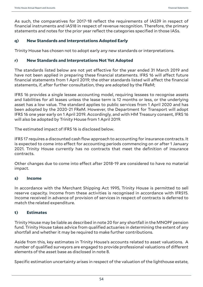As such, the comparatives for 2017-18 reflect the requirements of IAS39 in respect of financial instruments and IAS18 in respect of revenue recognition. Therefore, the primary statements and notes for the prior year reflect the categories specified in those IASs.

# **q) New Standards and Interpretations Adopted Early**

Trinity House has chosen not to adopt early any new standards or interpretations.

### **r) New Standards and Interpretations Not Yet Adopted**

The standards listed below are not yet effective for the year ended 31 March 2019 and have not been applied in preparing these financial statements. IFRS 16 will affect future financial statements from 1 April 2019; the other standards listed will affect the financial statements, if, after further consultation, they are adopted by the FReM;

IFRS 16 provides a single lessee accounting model, requiring lessees to recognise assets and liabilities for all leases unless the lease term is 12 months or less, or the underlying asset has a low value. The standard applies to public services from 1 April 2020 and has been adopted by the 2020-21 FReM. However, the Department for Transport will adopt IFRS 16 one year early on 1 April 2019. Accordingly, and with HM Treasury consent, IFRS 16 will also be adopted by Trinity House from 1 April 2019.

The estimated impact of IFRS 16 is disclosed below.

IFRS 17 requires a discounted cash flow approach to accounting for insurance contracts. It is expected to come into effect for accounting periods commencing on or after 1 January 2021. Trinity House currently has no contracts that meet the definition of insurance contracts.

Other changes due to come into effect after 2018-19 are considered to have no material impact.

#### **s) Income**

In accordance with the Merchant Shipping Act 1995, Trinity House is permitted to sell reserve capacity. Income from these activities is recognised in accordance with IFRS15. Income received in advance of provision of services in respect of contracts is deferred to match the related expenditure.

# **t) Estimates**

Trinity House may be liable as described in note 20 for any shortfall in the MNOPF pension fund. Trinity House takes advice from qualified actuaries in determining the extent of any shortfall and whether it may be required to make further contributions.

Aside from this, key estimates in Trinity House's accounts related to asset valuations. A number of qualified surveyors are engaged to provide professional valuations of different elements of the asset base as disclosed in note 8.

Specific estimation uncertainty arises in respect of the valuation of the lighthouse estate,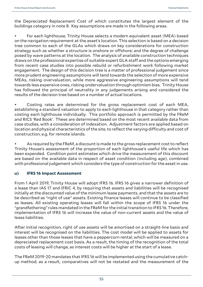the Depreciated Replacement Cost of which constitutes the largest element of the buildings category in note 8. Key assumptions are made in the following areas.

• For each lighthouse, Trinity House selects a modern equivalent asset (MEA) based on the navigation requirement at the asset's location. This selection is based on a decision tree common to each of the GLAs which draws on key considerations for construction strategy such as whether a structure is onshore or offshore; and the degree of challenge posed by wave patterns at the location. The analysis of available construction techniques draws on the professional expertise of suitable expert GLA staff and the options emerging from recent case studies into possible rebuild or refurbishment work following market engagement. The design of this decision tree is a matter of professional judgement since more prudent engineering assumptions will tend towards the selection of more expensive MEAs, risking overvaluation, while more aggressive engineering assumptions will tend towards less expensive ones, risking undervaluation through optimism bias. Trinity House has followed the principal of neutrality in any judgements arising and considered the results of the decision tree based on a number of actual locations.

• Costing rates are determined for the gross replacement cost of each MEA, establishing a standard valuation to apply to each lighthouse in that category rather than costing each lighthouse individually. This portfolio approach is permitted by the FReM and RICS 'Red Book'. These are determined based on the most recent available data from case studies, with a consideration of indexation. Adjustment factors are applied based on location and physical characteristics of the site, to reflect the varying difficulty and cost of construction, e.g. for remote islands.

As required by the FReM, a discount is made to the gross replacement cost to reflect Trinity House's assessment of the proportion of each lighthouse's useful life which has been expended. Condition point estimates which drive the measurement of this discount are based on the available data in respect of asset condition (including age), combined with professional judgement which considers the type of construction for the asset in use.

# **u) IFRS 16 Impact Assessment**

From 1 April 2019, Trinity House will adopt IFRS 16. IFRS 16 gives a narrower definition of a lease than IAS 17 and IFRIC 4, by requiring that assets and liabilities will be recognised initially at the discounted value of the minimum lease payments, and that the assets are to be described as "right of use" assets. Existing finance leases will continue to be classified as leases. All existing operating leases will fall within the scope of IFRS 16 under the "grandfathering" rules mandated in the FReM for the initial transition to IFRS 16. Therefore, implementation of IFRS 16 will increase the value of non-current assets and the value of lease liabilities.

After initial recognition, right of use assets will be amortised on a straight-line basis and interest will be recognised on the liabilities. The cost model will be applied to assets for leases other than those leases that have a peppercorn rental, which will be measured on a depreciated replacement cost basis. As a result, the timing of the recognition of the total costs of leasing will change, as interest costs will be higher at the start of a lease.

The FReM 2019-20 mandates that IFRS 16 will be implemented using the cumulative catchup method; as a result, comparatives will not be restated and the measurement of the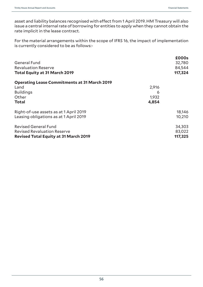asset and liability balances recognised with effect from 1 April 2019. HM Treasury will also issue a central internal rate of borrowing for entities to apply when they cannot obtain the rate implicit in the lease contract.

For the material arrangements within the scope of IFRS 16, the impact of implementation is currently considered to be as follows:-

| <b>General Fund</b><br><b>Revaluation Reserve</b>   |       | £000s<br>32,780<br>84,544 |
|-----------------------------------------------------|-------|---------------------------|
| <b>Total Equity at 31 March 2019</b>                |       | 117,324                   |
| <b>Operating Lease Commitments at 31 March 2019</b> |       |                           |
| Land                                                | 2,916 |                           |
| <b>Buildings</b>                                    | 6     |                           |
| Other                                               | 1,932 |                           |
| Total                                               | 4,854 |                           |
| Right-of-use assets as at 1 April 2019              |       | 18,146                    |
| Leasing obligations as at 1 April 2019              |       | 10,210                    |
| <b>Revised General Fund</b>                         |       | 34,303                    |
| <b>Revised Revaluation Reserve</b>                  |       | 83,022                    |
| <b>Revised Total Equity at 31 March 2019</b>        |       | 117,325                   |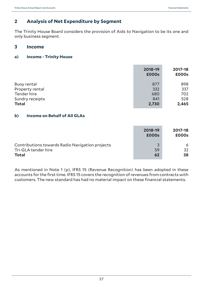# **2 Analysis of Net Expenditure by Segment**

The Trinity House Board considers the provision of Aids to Navigation to be its one and only business segment.

# **3 Income**

# **a) Income - Trinity House**

|                    | 2018-19<br><b>£000s</b> | 2017-18<br>£000s |
|--------------------|-------------------------|------------------|
| <b>Buoy rental</b> | 877                     | 898              |
| Property rental    | 332                     | 337              |
| Tender hire        | 680                     | 702              |
| Sundry receipts    | 841                     | 528              |
| <b>Total</b>       | 2,730                   | 2,465            |

# **b) Income on Behalf of All GLAs**

|                                                 | 2018-19<br><b>£000s</b> | 2017-18<br>£000s |
|-------------------------------------------------|-------------------------|------------------|
| Contributions towards Radio Navigation projects | 3                       | 6                |
| Tri-GLA tender hire                             | 59                      | 32               |
| <b>Total</b>                                    | 62                      | 38               |

As mentioned in Note 1 (p), IFRS 15 (Revenue Recognition) has been adopted in these accounts for the first time. IFRS 15 covers the recognition of revenues from contracts with customers. The new standard has had no material impact on these financial statements.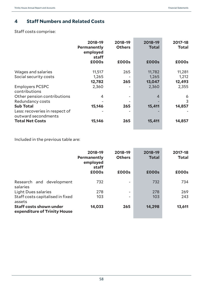# **4 Staff Numbers and Related Costs**

Staff costs comprise:

|                                                       | 2018-19<br><b>Permanently</b><br>employed<br>staff | 2018-19<br><b>Others</b> | 2018-19<br><b>Total</b> | 2017-18<br><b>Total</b> |
|-------------------------------------------------------|----------------------------------------------------|--------------------------|-------------------------|-------------------------|
|                                                       | £000s                                              | £000s                    | <b>£000s</b>            | £000s                   |
| Wages and salaries                                    | 11,517                                             | 265                      | 11,782                  | 11,281                  |
| Social security costs                                 | 1,265                                              |                          | 1,265                   | 1,212                   |
|                                                       | 12,782                                             | 265                      | 13,047                  | 12,493                  |
| <b>Employers PCSPC</b><br>contributions               | 2,360                                              |                          | 2,360                   | 2,355                   |
| Other pension contributions                           | 4                                                  |                          | $\overline{4}$          | 6                       |
| Redundancy costs                                      |                                                    |                          |                         | 3                       |
| <b>Sub Total</b>                                      | 15,146                                             | 265                      | 15,411                  | 14,857                  |
| Less: recoveries in respect of<br>outward secondments |                                                    |                          |                         |                         |
| <b>Total Net Costs</b>                                | 15,146                                             | 265                      | 15,411                  | 14,857                  |

Included in the previous table are:

|                                                                | 2018-19<br><b>Permanently</b><br>employed<br>staff | 2018-19<br><b>Others</b> | 2018-19<br><b>Total</b> | 2017-18<br><b>Total</b> |
|----------------------------------------------------------------|----------------------------------------------------|--------------------------|-------------------------|-------------------------|
|                                                                | £000s                                              | £000s                    | <b>£000s</b>            | £000s                   |
| Research and development<br>salaries                           | 732                                                | $\overline{\phantom{0}}$ | 732                     | 734                     |
| <b>Light Dues salaries</b>                                     | 278                                                | $\overline{\phantom{0}}$ | 278                     | 269                     |
| Staff costs capitalised in fixed<br>assets                     | 103                                                | ۰                        | 103                     | 243                     |
| <b>Staff costs shown under</b><br>expenditure of Trinity House | 14,033                                             | 265                      | 14,298                  | 13,611                  |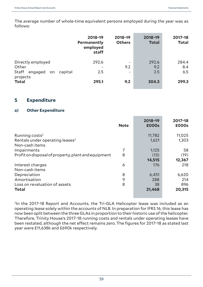The average number of whole-time equivalent persons employed during the year was as follows:

|                                                                 | 2018-19<br>Permanently<br>employed<br>staff | 2018-19<br><b>Others</b> | 2018-19<br><b>Total</b> | 2017-18<br><b>Total</b> |
|-----------------------------------------------------------------|---------------------------------------------|--------------------------|-------------------------|-------------------------|
| Directly employed<br>Other<br>Staff<br>engaged<br>capital<br>on | 292.6<br>2.5                                | ۰<br>9.2<br>۰            | 292.6<br>9.2<br>2.5     | 284.4<br>8.4<br>6.5     |
| projects<br><b>Total</b>                                        | 295.1                                       | 9.2                      | 304.3                   | 299.3                   |

# **5 Expenditure**

#### **a) Other Expenditure**

|                                                     | <b>Note</b> | 2018-19<br><b>£000s</b> | 2017-18<br>£000s |
|-----------------------------------------------------|-------------|-------------------------|------------------|
| Running costs <sup>2</sup>                          |             | 11,782                  | 11,025           |
| Rentals under operating leases <sup>2</sup>         |             | 1,621                   | 1,303            |
| Non-cash items                                      |             |                         |                  |
| Impairments                                         | 7           | 1,125                   | 58               |
| Profit on disposal of property, plant and equipment | 8           | (13)                    | (19)             |
|                                                     |             | 14,515                  | 12,367           |
| Interest charges                                    | 6           | 176                     | 218              |
| Non-cash items                                      |             |                         |                  |
| Depreciation                                        | 8           | 6,451                   | 6,620            |
| Amortisation                                        | 9           | 288                     | 214              |
| Loss on revaluation of assets                       | 8           | 38                      | 896              |
| <b>Total</b>                                        |             | 21,468                  | 20,315           |

<sup>2</sup>In the 2017-18 Report and Accounts, the Tri-GLA Helicopter lease was included as an operating lease solely within the accounts of NLB. In preparation for IFRS 16, this lease has now been split between the three GLAs in proportion to their historic use of the helicopter. Therefore, Trinity House's 2017-18 running costs and rentals under operating leases have been restated, although the net effect remains zero. The figures for 2017-18 as stated last year were £11,638k and £690k respectively.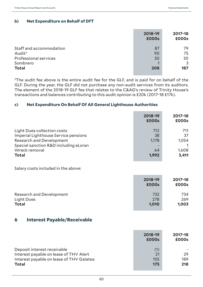# **b) Net Expenditure on Behalf of DfT**

|                              | 2018-19<br><b>£000s</b> | 2017-18<br>£000s |
|------------------------------|-------------------------|------------------|
| Staff and accommodation      | 87                      | 79               |
| Audit <sup>3</sup>           | 90                      | 75               |
| <b>Professional services</b> | 30                      | 30               |
| Sombrero                     |                         | 3                |
| <b>Total</b>                 | 208                     | 187              |

 $3$ The audit fee above is the entire audit fee for the GLF, and is paid for on behalf of the GLF. During the year, the GLF did not purchase any non-audit services from its auditors. The element of the 2018-19 GLF fee that relates to the C&AG's review of Trinity House's transactions and balances contributing to this audit opinion is £20k (2017-18 £17k).

# **c) Net Expenditure On Behalf Of All General Lighthouse Authorities**

|                                                                                                                                                                                         | 2018-19<br><b>£000s</b>           | 2017-18<br>£000s                     |
|-----------------------------------------------------------------------------------------------------------------------------------------------------------------------------------------|-----------------------------------|--------------------------------------|
| <b>Light Dues collection costs</b><br><b>Imperial Lighthouse Service pensions</b><br><b>Research and Development</b><br>Special sanction R&D including eLoran<br>Wreck removal<br>Total | 712<br>38<br>1,178<br>64<br>1,992 | 711<br>37<br>1,054<br>1,608<br>3,411 |
| Salary costs included in the above:                                                                                                                                                     |                                   |                                      |
|                                                                                                                                                                                         | 2018-19<br><b>£000s</b>           | 2017-18<br>£000s                     |
| <b>Research and Development</b><br><b>Light Dues</b><br>Total                                                                                                                           | 732<br>278<br>1,010               | 734<br>269<br>1,003                  |
| <b>Interest Payable/Receivable</b><br>6                                                                                                                                                 |                                   |                                      |

|                                                                                                                                   | 2018-19<br><b>£000s</b> | 2017-18<br>£000s |
|-----------------------------------------------------------------------------------------------------------------------------------|-------------------------|------------------|
| Deposit interest receivable<br>Interest payable on lease of THV Alert<br>Interest payable on lease of THV Galatea<br><b>Total</b> | (1)<br>21<br>155<br>175 | 29<br>189<br>218 |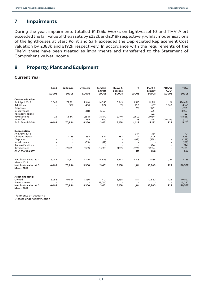# **7 Impairments**

During the year, impairments totalled £1,125k. Works on Lightvessel 10 and THV Alert exceeded the fair value of the assets by £232k and £318k respectively, whilst modernisations of the lighthouses at Start Point and Sark exceeded the Depreciated Replacement Cost valuation by £383k and £192k respectively. In accordance with the requirements of the FReM, these have been treated as impairments and transferred to the Statement of Comprehensive Net Income.

# **8 Property, Plant and Equipment**

#### **Current Year**

|                                           | Land           | <b>Buildings</b> | L'vessels | <b>Tenders</b><br>& Craft | <b>Buoys &amp;</b><br><b>Beacons</b> | IT                       | Plant &<br>M'nery | $POA4$ &<br>AUC <sup>5</sup> | <b>Total</b> |
|-------------------------------------------|----------------|------------------|-----------|---------------------------|--------------------------------------|--------------------------|-------------------|------------------------------|--------------|
|                                           | £000s          | £000s            | £000s     | £000s                     | £000s                                | £000s                    | £000s             | £000s                        | £000s        |
| <b>Cost or valuation</b>                  |                |                  |           |                           |                                      |                          |                   |                              |              |
| At 1 April 2018                           | 6,042          | 72,321           | 9,340     | 14,595                    | 5,243                                | 1,515                    | 14,219            | 1,161                        | 124,436      |
| Additions                                 |                | 357              | 430       | 877                       | 71                                   | 220                      | 637               | 1,568                        | 4,160        |
| <b>Disposals</b>                          |                |                  |           |                           |                                      | (76)                     | (199)             |                              | (275)        |
| Impairments                               |                | $\sim$           | (311)     | (367)                     |                                      |                          | (575)             | $\overline{a}$               | (1,253)      |
| <b>Reclassifications</b>                  |                |                  | $\sim$    |                           | $\sim$                               | $\overline{\phantom{a}}$ | (22)              |                              | (22)         |
| Revaluations                              | 26             | (1,844)          | (355)     | (1.954)                   | (219)                                | (260)                    | (1,059)           | ÷                            | (5,665)      |
| <b>Transfers</b>                          | $\overline{a}$ |                  | 256       | 300                       | 73                                   | 23                       | 1,141             | (2,004)                      | (211)        |
| At 31 March 2019                          | 6,068          | 70,834           | 9,360     | 13,451                    | 5,168                                | 1,422                    | 14,142            | 725                          | 121,170      |
| <b>Depreciation</b>                       |                |                  |           |                           |                                      |                          |                   |                              |              |
| At 1 April 2018                           |                |                  |           |                           |                                      | 367                      | 334               | $\sim$                       | 701          |
| Charged in year                           |                | 2,385            | 658       | 1,547                     | 182                                  | 274                      | 1,405             | ٠                            | 6,451        |
| <b>Disposals</b>                          |                |                  |           |                           |                                      | (69)                     | (159)             |                              | (228)        |
| Impairments                               |                |                  | (79)      | (49)                      | $\sim$                               | $\overline{\phantom{a}}$ |                   |                              | (128)        |
| Reclassifications                         |                |                  |           |                           |                                      | $\overline{\phantom{a}}$ | (14)              | $\overline{\phantom{a}}$     | (14)         |
| Revaluations                              |                | (2, 385)         | (579)     | (1,498)                   | (182)                                | (261)                    | (1, 284)          | $\overline{\phantom{a}}$     | (6,189)      |
| At 31 March 2019                          |                |                  |           |                           |                                      | 311                      | 282               | ٠                            | 593          |
| Net book value at 31                      | 6,042          | 72,321           | 9,340     | 14,595                    | 5,243                                | 1,148                    | 13,885            | 1,161                        | 123,735      |
| <b>March 2018</b>                         |                |                  |           |                           |                                      |                          |                   |                              |              |
| Net book value at 31<br><b>March 2019</b> | 6,068          | 70,834           | 9,360     | 13,451                    | 5,168                                | 1,111                    | 13,860            | 725                          | 120,577      |
| <b>Asset financing:</b>                   |                |                  |           |                           |                                      |                          |                   |                              |              |
| Owned                                     | 6,068          | 70,834           | 9,360     | 401                       | 5,168                                | 1,111                    | 13,860            | 725                          | 107,527      |
| Finance leased                            |                |                  |           | 13,050                    |                                      | $\sim$                   |                   | $\sim$                       | 13,050       |
| Net book value at 31<br><b>March 2019</b> | 6,068          | 70,834           | 9,360     | 13,451                    | 5,168                                | 1,111                    | 13,860            | 725                          | 120,577      |

4Payments on accounts

5Assets under construction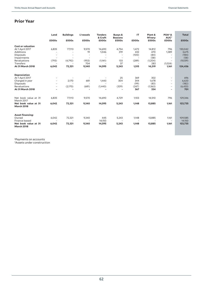# **Prior Year**

|                                                          | Land<br>£000s | <b>Buildings</b><br>£000s | L'vessels<br>£000s              | <b>Tenders</b><br>& Craft<br>£000s | <b>Buoys &amp;</b><br><b>Beacons</b><br>£000s | IT<br>£000s              | Plant &<br>M'nery<br>£000s | POA <sup>6</sup> &<br>AUC <sup>7</sup><br>£000s | <b>Total</b><br>£000s     |
|----------------------------------------------------------|---------------|---------------------------|---------------------------------|------------------------------------|-----------------------------------------------|--------------------------|----------------------------|-------------------------------------------------|---------------------------|
|                                                          |               |                           |                                 |                                    |                                               |                          |                            |                                                 |                           |
| <b>Cost or valuation</b><br>At 1 April 2017<br>Additions | 6,835         | 77,113                    | 9,570<br>19                     | 14,690<br>1,046                    | 4,754<br>319                                  | 1,472<br>432<br>(100)    | 14,812<br>470<br>(84)      | 796<br>1,389                                    | 130,042<br>3,675<br>(184) |
| <b>Disposals</b><br>Impairments                          | $\sim$        | ۰<br>٠                    | $\sim$                          | $\overline{\phantom{a}}$           | $\overline{\phantom{a}}$                      | $\overline{\phantom{a}}$ | (58)                       | ٠                                               | (58)                      |
| Revaluations<br>Transfers                                | (793)         | (4,792)                   | (953)<br>704                    | (1,141)                            | 133<br>37                                     | (289)                    | (1,204)<br>283             | $\overline{a}$<br>(1.024)                       | (9,039)                   |
| At 31 March 2018                                         | 6,042         | 72,321                    | 9,340                           | 14,595                             | 5,243                                         | 1,515                    | 14,219                     | 1,161                                           | 124,436                   |
| <b>Depreciation</b>                                      |               |                           |                                 |                                    |                                               |                          |                            |                                                 |                           |
| At 1 April 2017                                          |               |                           |                                 |                                    | 25                                            | 369                      | 302                        | $\sim$                                          | 696                       |
| Charged in year<br>Disposals                             | ٠             | 2,170                     | 681<br>$\overline{\phantom{a}}$ | 1,443                              | 304<br>$\overline{\phantom{a}}$               | 344<br>(99)              | 1,678<br>(83)              | $\sim$<br>$\sim$                                | 6,620<br>(182)            |
| Revaluations                                             | ٠             | (2,170)                   | (681)                           | (1, 443)                           | (329)                                         | (247)                    | (1.563)                    | $\sim$                                          | (6, 433)                  |
| At 31 March 2018                                         | ۰             | ٠                         |                                 |                                    |                                               | 367                      | 334                        | ٠                                               | 701                       |
| Net book value at 31<br>March 2017                       | 6,835         | 77,113                    | 9,570                           | 14,690                             | 4,729                                         | 1,103                    | 14,510                     | 796                                             | 129,346                   |
| Net book value at 31<br><b>March 2018</b>                | 6,042         | 72,321                    | 9,340                           | 14,595                             | 5,243                                         | 1,148                    | 13,885                     | 1,161                                           | 123,735                   |
| <b>Asset financing:</b>                                  |               |                           |                                 |                                    |                                               |                          |                            |                                                 |                           |
| Owned<br>Finance leased                                  | 6.042         | 72.321                    | 9,340                           | 445<br>14,150                      | 5,243                                         | 1.148                    | 13.885                     | 1.161                                           | 109,585<br>14.150         |
| Net book value at 31<br><b>March 2018</b>                | 6,042         | 72,321                    | 9,340                           | 14,595                             | 5,243                                         | 1.148                    | 13,885                     | 1,161                                           | 123,735                   |

<sup>6</sup>Payments on accounts<br><sup>7</sup>Assets under construction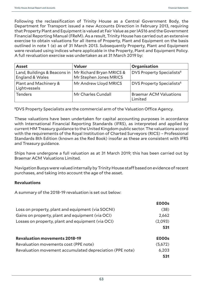Following the reclassification of Trinity House as a Central Government Body, the Department for Transport issued a new Accounts Direction in February 2013, requiring that Property Plant and Equipment is valued at Fair Value as per IAS16 and the Government Financial Reporting Manual (FReM). As a result, Trinity House has carried out an extensive exercise to obtain valuations for all items of Property, Plant and Equipment on the basis outlined in note 1 (e) as of 31 March 2013. Subsequently Property, Plant and Equipment were revalued using indices where applicable in the Property, Plant and Equipment Policy. A full revaluation exercise was undertaken as at 31 March 2019 by:

| <b>Asset</b>                                                               | <b>Valuer</b>          | Organisation                             |
|----------------------------------------------------------------------------|------------------------|------------------------------------------|
| Land, Buildings & Beacons in   Mr Richard Bryan MRICS &<br>England & Wales | Mr Stephen Jones MRICS | DVS Property Specialists <sup>8</sup>    |
| Plant and Machinery &<br>Lightvessels                                      | Mr Andrew Lloyd MRICS  | DVS Property Specialists <sup>8</sup>    |
| <b>Tenders</b>                                                             | Mr Charles Cundall     | <b>Braemar ACM Valuations</b><br>Limited |

8DVS Property Specialists are the commercial arm of the Valuation Office Agency.

These valuations have been undertaken for capital accounting purposes in accordance with International Financial Reporting Standards (IFRS), as interpreted and applied by current HM Treasury guidance to the United Kingdom public sector. The valuations accord with the requirements of the Royal Institution of Charted Surveyors (RICS) – Professional Standards 8th Edition (known as the Red Book) insofar as these are consistent with IFRS and Treasury guidance.

Ships have undergone a full valuation as at 31 March 2019; this has been carried out by Braemar ACM Valuations Limited.

Navigation Buoys were valued internally by Trinity House staff based on evidence of recent purchases, and taking into account the age of the asset.

#### **Revaluations**

A summary of the 2018-19 revaluation is set out below:

|                                                          | £000s   |
|----------------------------------------------------------|---------|
| Loss on property, plant and equipment (via SOCNI)        | (38)    |
| Gains on property, plant and equipment (via OCI)         | 2,662   |
| Losses on property, plant and equipment (via OCI)        | (2,093) |
|                                                          | 531     |
| <b>Revaluation movements 2018-19</b>                     | £000s   |
| Revaluation movements cost (PPE note)                    | (5,672) |
| Revaluation movement accumulated depreciation (PPE note) | 6,203   |
|                                                          | 531     |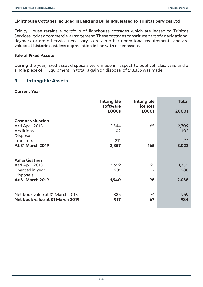# **Lighthouse Cottages included in Land and Buildings, leased to Trinitas Services Ltd**

Trinity House retains a portfolio of lighthouse cottages which are leased to Trinitas Services Ltd as a commercial arrangement. These cottages constitute part of a navigational daymark or are otherwise necessary to retain other operational requirements and are valued at historic cost less depreciation in line with other assets.

#### **Sale of Fixed Assets**

During the year, fixed asset disposals were made in respect to pool vehicles, vans and a single piece of IT Equipment. In total, a gain on disposal of £13,336 was made.

# **9 Intangible Assets**

#### **Current Year**

|                                                                                                                                    | <b>Intangible</b><br>software | <b>Intangible</b><br><b>licences</b> | <b>Total</b>                 |
|------------------------------------------------------------------------------------------------------------------------------------|-------------------------------|--------------------------------------|------------------------------|
|                                                                                                                                    | £000s                         | £000s                                | <b>£000s</b>                 |
| <b>Cost or valuation</b><br><b>At 1 April 2018</b><br>Additions<br><b>Disposals</b><br><b>Transfers</b><br><b>At 31 March 2019</b> | 2,544<br>102<br>211<br>2,857  | 165<br>165                           | 2,709<br>102<br>211<br>3,022 |
|                                                                                                                                    |                               |                                      |                              |
| <b>Amortisation</b>                                                                                                                |                               |                                      |                              |
| At 1 April 2018                                                                                                                    | 1,659                         | 91                                   | 1,750                        |
| Charged in year                                                                                                                    | 281                           | 7                                    | 288                          |
| <b>Disposals</b><br><b>At 31 March 2019</b>                                                                                        | 1,940                         | 98                                   | 2,038                        |
| Net book value at 31 March 2018<br>Net book value at 31 March 2019                                                                 | 885<br>917                    | 74<br>67                             | 959<br>984                   |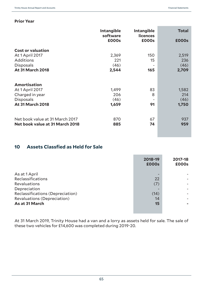# **Prior Year**

|                                 | <b>Intangible</b><br>software | <b>Intangible</b><br><b>licences</b> | <b>Total</b> |
|---------------------------------|-------------------------------|--------------------------------------|--------------|
|                                 | £000s                         | £000s                                | <b>£000s</b> |
| <b>Cost or valuation</b>        |                               |                                      |              |
| At 1 April 2017                 | 2,369                         | 150                                  | 2,519        |
| <b>Additions</b>                | 221                           | 15                                   | 236          |
| <b>Disposals</b>                | (46)                          |                                      | (46)         |
| <b>At 31 March 2018</b>         | 2,544                         | 165                                  | 2,709        |
|                                 |                               |                                      |              |
| <b>Amortisation</b>             |                               |                                      |              |
| At 1 April 2017                 | 1,499                         | 83                                   | 1,582        |
| Charged in year                 | 206                           | 8                                    | 214          |
| <b>Disposals</b>                | (46)                          | $\overline{\phantom{a}}$             | (46)         |
| <b>At 31 March 2018</b>         | 1,659                         | 91                                   | 1,750        |
|                                 |                               |                                      |              |
| Net book value at 31 March 2017 | 870                           | 67                                   | 937          |
| Net book value at 31 March 2018 | 885                           | 74                                   | 959          |
|                                 |                               |                                      |              |

# **10 Assets Classfied as Held for Sale**

|                                  | 2018-19<br><b>£000s</b> | 2017-18<br>£000s |
|----------------------------------|-------------------------|------------------|
| As at 1 April                    |                         |                  |
| <b>Reclassifications</b>         | 22                      |                  |
| <b>Revaluations</b>              | (7)                     |                  |
| Depreciation                     |                         |                  |
| Reclassifications (Depreciation) | (14)                    |                  |
| Revaluations (Depreciation)      | 14                      |                  |
| As at 31 March                   | 15                      |                  |
|                                  |                         |                  |

At 31 March 2019, Trinity House had a van and a lorry as assets held for sale. The sale of these two vehicles for £14,600 was completed during 2019-20.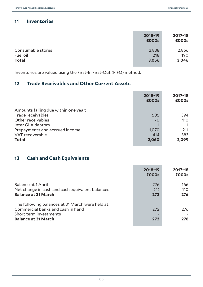# **11 Inventories**

|                   | 2018-19<br><b>£000s</b> | 2017-18<br>£000s |
|-------------------|-------------------------|------------------|
| Consumable stores | 2,838                   | 2,856            |
| Fuel oil          | 218                     | 190              |
| <b>Total</b>      | 3,056                   | 3,046            |

Inventories are valued using the First-In First-Out (FIFO) method.

# **12 Trade Receivables and Other Current Assets**

|                                      | 2018-19<br><b>£000s</b> | 2017-18<br>£000s |
|--------------------------------------|-------------------------|------------------|
| Amounts falling due within one year: |                         |                  |
| Trade receivables                    | 505                     | 394              |
| Other receivables                    | 70                      | 110              |
| Inter GLA debtors                    |                         |                  |
| Prepayments and accrued income       | 1,070                   | 1,211            |
| VAT recoverable                      | 414                     | 383              |
| <b>Total</b>                         | 2,060                   | 2,099            |

# **13 Cash and Cash Equivalents**

|                                                                                                                                               | 2018-19<br><b>£000s</b> | 2017-18<br>£000s  |
|-----------------------------------------------------------------------------------------------------------------------------------------------|-------------------------|-------------------|
| Balance at 1 April<br>Net change in cash and cash equivalent balances<br><b>Balance at 31 March</b>                                           | 276<br>(4)<br>272       | 166<br>110<br>276 |
| The following balances at 31 March were held at:<br>Commercial banks and cash in hand<br>Short term investments<br><b>Balance at 31 March</b> | 272<br>272              | 276<br>276        |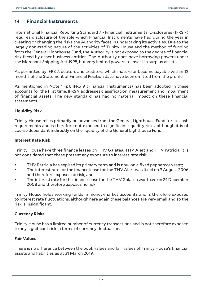# **14 Financial Instruments**

International Financial Reporting Standard 7 - Financial Instruments: Disclosures (IFRS 7) requires disclosure of the role which Financial Instruments have had during the year in creating or changing the risks the Authority faces in undertaking its activities. Due to the largely non-trading nature of the activities of Trinity House and the method of funding from the General Lighthouse Fund, the Authority is not exposed to the degree of financial risk faced by other business entities. The Authority does have borrowing powers under the Merchant Shipping Act 1995, but very limited powers to invest in surplus assets.

As permitted by IFRS 7, debtors and creditors which mature or become payable within 12 months of the Statement of Financial Position date have been omitted from the profile.

As mentioned in Note 1 (p), IFRS 9 (Financial Instruments) has been adopted in these accounts for the first time. IFRS 9 addresses classification, measurement and impairment of financial assets. The new standard has had no material impact on these financial statements.

# **Liquidity Risk**

Trinity House relies primarily on advances from the General Lighthouse Fund for its cash requirements and is therefore not exposed to significant liquidity risks, although it is of course dependant indirectly on the liquidity of the General Lighthouse Fund.

# **Interest Rate Risk**

Trinity House have three finance leases on THV Galatea, THV Alert and THV Patricia. It is not considered that these present any exposure to interest rate risk:

- THV Patricia has expired its primary term and is now on a fixed peppercorn rent;
- The interest rate for the finance lease for the THV Alert was fixed on 9 August 2006 and therefore exposes no risk; and
- The interest rate for the finance lease for the THV Galatea was fixed on 24 December 2008 and therefore exposes no risk.

Trinity House holds working funds in money-market accounts and is therefore exposed to interest rate fluctuations, although here again these balances are very small and so the risk is insignificant.

# **Currency Risks**

Trinity House has a limited number of currency transactions and is not therefore exposed to any significant risk in terms of currency fluctuations.

# **Fair Values**

There is no difference between the book values and fair values of Trinity House's financial assets and liabilities as at 31 March 2019.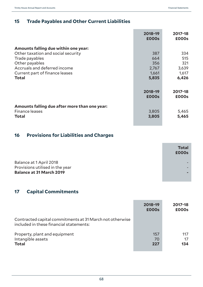# **15 Trade Payables and Other Current Liabilities**

|                                                                                                                                                                                                  | 2018-19<br><b>£000s</b>                      | 2017-18<br>£000s                             |
|--------------------------------------------------------------------------------------------------------------------------------------------------------------------------------------------------|----------------------------------------------|----------------------------------------------|
| Amounts falling due within one year:<br>Other taxation and social security<br>Trade payables<br>Other payables<br>Accruals and deferred income<br>Current part of finance leases<br><b>Total</b> | 387<br>664<br>356<br>2,767<br>1,661<br>5,835 | 334<br>515<br>321<br>3,639<br>1,617<br>6,426 |
|                                                                                                                                                                                                  | 2018-19<br><b>£000s</b>                      | 2017-18<br>£000s                             |
| Amounts falling due after more than one year:<br>Finance leases<br><b>Total</b>                                                                                                                  | 3,805<br>3,805                               | 5,465<br>5,465                               |

# **16 Provisions for Liabilities and Charges**

|                                 | <b>Total</b><br><b>£000s</b> |
|---------------------------------|------------------------------|
| Balance at 1 April 2018         |                              |
| Provisions utilised in the year |                              |
| <b>Balance at 31 March 2019</b> |                              |
|                                 |                              |

# **17 Capital Commitments**

|                                                                                                     | 2018-19<br>£000s | 2017-18<br>£000s |
|-----------------------------------------------------------------------------------------------------|------------------|------------------|
| Contracted capital commitments at 31 March not otherwise<br>included in these financial statements: |                  |                  |
| Property, plant and equipment<br>Intangible assets<br><b>Total</b>                                  | 157<br>70<br>227 | 117<br>17<br>134 |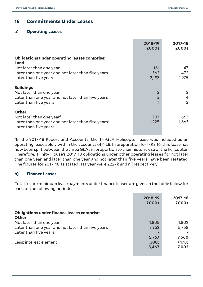# **18 Commitments Under Leases**

# **a) Operating Leases**

|                                                                                                                                                 | 2018-19<br><b>£000s</b> | 2017-18<br>£000s |
|-------------------------------------------------------------------------------------------------------------------------------------------------|-------------------------|------------------|
| <b>Obligations under operating leases comprise:</b><br>Land                                                                                     |                         |                  |
| Not later than one year                                                                                                                         | 161                     | 147              |
| Later than one year and not later than five years                                                                                               | 562                     | 472              |
| Later than five years                                                                                                                           | 2,193                   | 1,975            |
| <b>Buildings</b><br>Not later than one year<br>Later than one year and not later than five years<br>Later than five years                       | $\overline{2}$<br>3     | 2<br>4<br>2      |
| <b>Other</b><br>Not later than one year <sup>9</sup><br>Later than one year and not later than five years <sup>9</sup><br>Later than five years | 707<br>1,225            | 663<br>1,663     |

<sup>9</sup>In the 2017-18 Report and Accounts, the Tri-GLA Helicopter lease was included as an operating lease solely within the accounts of NLB. In preparation for IFRS 16, this lease has now been split between the three GLAs in proportion to their historic use of the helicopter. Therefore, Trinity House's 2017-18 obligations under other operating leases for not later than one year, and later than one year and not later than five years, have been restated. The figures for 2017-18 as stated last year were £227k and nil respectively.

# **b) Finance Leases**

Total future minimum lease payments under finance leases are given in the table below for each of the following periods.

|                                                            | 2018-19<br><b>£000s</b> | 2017-18<br>£000s |
|------------------------------------------------------------|-------------------------|------------------|
| <b>Obligations under finance leases comprise:</b><br>Other |                         |                  |
| Not later than one year                                    | 1,805                   | 1,802            |
| Later than one year and not later than five years          | 3,962                   | 5,758            |
| Later than five years                                      |                         |                  |
|                                                            | 5,767                   | 7,560            |
| Less: interest element                                     | (300)                   | (478)            |
|                                                            | 5,467                   | 7,082            |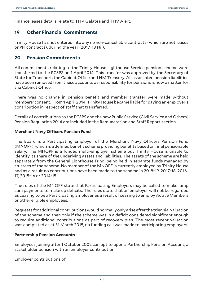Finance leases details relate to THV Galatea and THV Alert.

# **19 Other Financial Commitments**

Trinity House has not entered into any no non-cancellable contracts (which are not leases or PFI contracts), during the year (2017-18 Nil).

# **20 Pension Commitments**

All commitments relating to the Trinity House Lighthouse Service pension scheme were transferred to the PCSPS on 1 April 2014. This transfer was approved by the Secretary of State for Transport, the Cabinet Office and HM Treasury. All associated pension liabilities have been removed from these accounts as responsibility for pensions is now a matter for the Cabinet Office.

There was no change in pension benefit and member transfer were made without members' consent. From 1 April 2014, Trinity House became liable for paying an employer's contribution in respect of staff that transferred.

Details of contributions to the PCSPS and the new Public Service (Civil Service and Others) Pension Regulation 2014 are included in the Remuneration and Staff Report section.

# **Merchant Navy Officers Pension Fund**

The Board is a Participating Employer of the Merchant Navy Officers Pension Fund (MNOPF), which is a defined benefit scheme providing benefits based on final pensionable salary. The MNOPF is a funded multi-employer scheme but Trinity House is unable to identify its share of the underlying assets and liabilities. The assets of the scheme are held separately from the General Lighthouse Fund, being held in separate funds managed by trustees of the scheme. No member of the MNOPF is currently employed by Trinity House and as a result no contributions have been made to the scheme in 2018-19, 2017-18, 2016- 17, 2015-16 or 2014-15.

The rules of the MNOPF state that Participating Employers may be called to make lump sum payments to make up deficits. The rules state that an employer will not be regarded as ceasing to be a Participating Employer as a result of ceasing to employ Active Members or other eligible employees.

Requests for additional contributions would normally only arise after the triennial valuation of the scheme and then only if the scheme was in a deficit considered significant enough to require additional contributions as part of recovery plan. The most recent valuation was completed as at 31 March 2015, no funding call was made to participating employers.

# **Partnership Pension Accounts**

Employees joining after 1 October 2002 can opt to open a Partnership Pension Account, a stakeholder pension with an employer contribution.

Employer contributions of: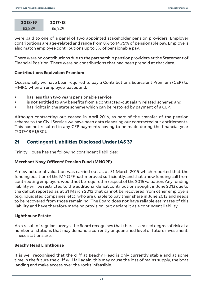| 2018-19 | 2017-18 |
|---------|---------|
| £3,839  | £6,229  |

were paid to one of a panel of two appointed stakeholder pension providers. Employer contributions are age-related and range from 8% to 14.75% of pensionable pay. Employers also match employee contributions up to 3% of pensionable pay.

There were no contributions due to the partnership pension providers at the Statement of Financial Position. There were no contributions that had been prepaid at that date.

# **Contributions Equivalent Premium**

Occasionally we have been required to pay a Contributions Equivalent Premium (CEP) to HMRC when an employee leaves and:

- has less than two years pensionable service;
- is not entitled to any benefits from a contracted-out salary related scheme; and
- has rights in the state scheme which can be restored by payment of a CEP.

Although contracting out ceased in April 2016, as part of the transfer of the pension scheme to the Civil Service we have been data cleansing our contracted out entitlements. This has not resulted in any CEP payments having to be made during the financial year (2017-18 £1,580).

# **21 Contingent Liabilities Disclosed Under IAS 37**

Trinity House has the following contingent liabilities:

# **Merchant Navy Officers' Pension Fund (MNOPF)**

A new actuarial valuation was carried out as at 31 March 2015 which reported that the funding position of the MNOPF had improved sufficiently, and that a new funding call from contributing employers would not be required in respect of the 2015 valuation. Any funding liability will be restricted to the additional deficit contributions sought in June 2013 due to the deficit reported as at 31 March 2012 that cannot be recovered from other employers (e.g. liquidated companies, etc), who are unable to pay their share in June 2013 and needs to be recovered from those remaining. The Board does not have reliable estimates of this liability and have therefore made no provision, but declare it as a contingent liability.

# **Lighthouse Estate**

As a result of regular surveys, the Board recognises that there is a raised degree of risk at a number of stations that may demand a currently unquantified level of future investment. These stations are:

# **Beachy Head Lighthouse**

It is well recognised that the cliff at Beachy Head is only currently stable and at some time in the future the cliff will fall again; this may cause the loss of mains supply, the boat landing and make access over the rocks infeasible.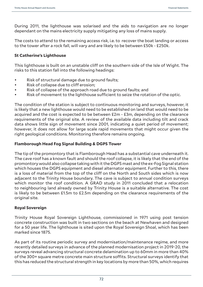During 2011, the lighthouse was solarised and the aids to navigation are no longer dependant on the mains electricity supply mitigating any loss of mains supply.

The costs to attend to the remaining access risk, i.e. to recover the boat landing or access to the tower after a rock fall, will vary and are likely to be between £50k - £250k.

#### **St Catherine's Lighthouse**

This lighthouse is built on an unstable cliff on the southern side of the Isle of Wight. The risks to this station fall into the following headings:

- Risk of structural damage due to ground faults;
- Risk of collapse due to cliff erosion;
- Risk of collapse of the approach road due to ground faults; and
- Risk of movement to the lighthouse sufficient to seize the rotation of the optic.

The condition of the station is subject to continuous monitoring and surveys, however, it is likely that a new lighthouse would need to be established on land that would need to be acquired and the cost is expected to be between £2m - £3m, depending on the clearance requirements of the original site. A review of the available data including tilt and crack data shows little sign of movement since 2001, indicating a quiet period of movement; however, it does not allow for large scale rapid movements that might occur given the right geological conditions. Monitoring therefore remains ongoing.

#### **Flamborough Head Fog Signal Building & DGPS Tower**

The tip of the promontory that is Flamborough Head has a substantial cave underneath it. The cave roof has a known fault and should the roof collapse, it is likely that the end of the promontory would also collapse taking with it the DGPS mast and the ex-Fog Signal station which houses the DGPS equipment and diesel alternator equipment. Further to this, there is a loss of material from the top of the cliff on the North and South sides which is now adjacent to the Trinity House boundary. The cave is subject to annual condition surveys which monitor the roof condition. A GRAD study in 2011 concluded that a relocation to neighbouring land already owned by Trinity House is a suitable alternative. The cost is likely to be between £1.5m to £2.5m depending on the clearance requirements of the original site.

#### **Royal Sovereign**

Trinity House Royal Sovereign Lighthouse, commissioned in 1971 using post tension concrete construction was built in two sections on the beach at Newhaven and designed for a 50 year life. The lighthouse is sited upon the Royal Sovereign Shoal, which has been marked since 1875.

As part of its routine periodic survey and modernisation/maintenance regime, and more recently detailed surveys in advance of the planned modernisation project in 2019-20, the surveys reveal advancing structural concrete delamination up to 60mm in more than 40% of the 300+ square metre concrete main structure soffits. Structural surveys identify that this has reduced the structural strength in key locations by more than 50%, which requires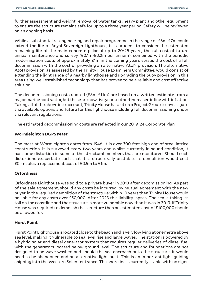further assessment and weight removal of water tanks, heavy plant and other equipment to ensure the structure remains safe for up to a three year period. Safety will be reviewed on an ongoing basis.

While a substantial re-engineering and repair programme in the range of £6m-£7m could extend the life of Royal Sovereign Lighthouse, it is prudent to consider the estimated remaining life of the main concrete pillar of up to 20-25 years, the full cost of future annual maintenance and survey (£0.1m-£0.2m per annum), combined with the periodic modernisation costs of approximately £1m in the coming years versus the cost of a full decommission with the cost of providing an alternative AtoN provision. The alternative AtoN provision, as assessed by the Trinity House Examiners Committee, would consist of extending the light range of a nearby lighthouse and upgrading the buoy provision in this area using well established technology that has proven to be a reliable and cost effective solution.

The decommissioning costs quoted (£8m-£11m) are based on a written estimate from a major marine contractor, but these are now five years old and increased in line with inflation. Taking all of the above into account, Trinity House has set up a Project Group to investigate the available options and future for this lighthouse including full decommissioning under the relevant regulations.

The estimated decommissioning costs are reflected in our 2019-24 Corporate Plan.

#### **Wormleighton DGPS Mast**

The mast at Wormleighton dates from 1946. It is over 300 feet high and of steel lattice construction. It is surveyed every two years and whilst currently in sound condition, it has some distortion in some of the structural members that are monitored. Should such distortions exacerbate such that it is structurally unstable, its demolition would cost £0.4m plus a replacement cost of £0.5m to £1m.

#### **Orfordness**

Orfordness Lighthouse was sold to a private buyer in 2013 after decomissioning. As part of the sale agreement, should any costs be incurred, by mutual agreement with the new buyer, in the required demolition of the structure within 10 years then Trinity House would be liable for any costs over £50,000. After 2023 this liability lapses. The sea is taking its toll on the coastline and the structure is more vulnerable now than it was in 2013. If Trinity House was required to demolish the structure then an estimated cost of £100,000 should be allowed for.

#### **Hurst Point**

Hurst Point Lighthouse is located close to the beach and is very low lying at one metre above sea level, making it vulnerable to sea level rise and large waves. The station is powered by a hybrid solar and diesel generator system that requires regular deliveries of diesel fuel with the generators located below ground level. The structure and foundations are not designed to be wave washed and should the sea encroach onto the structure, it would need to be abandoned and an alternative light built. This is an important light guiding shipping into the Western Solent entrance. The shoreline is currently stable with no signs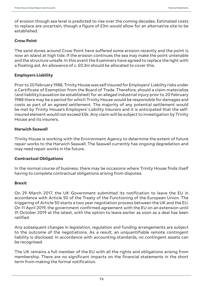of erosion though sea level is predicted to rise over the coming decades. Estimated costs to replace are uncertain, though a figure of £3m would allow for an alternative site to be established.

#### **Crow Point**

The sand dunes around Crow Point have suffered some erosion recently and the point is now an island at high tide. If the erosion continues the sea may make the point untenable and the structure unsafe. In this event the Examiners have agreed to replace the light with a floating aid. An allowance of c. £0.3m should be allocated to cover this.

#### **Employers Liability**

Prior to 20 February 1988, Trinity House was self insured for Employers' Liability risks under a Certificate of Exemption from the Board of Trade. Therefore, should a claim materialise (and liability/causation be established) for an alleged industrial injury prior to 20 February 1988 there may be a period for which Trinity House would be responsible for damages and costs as part of an agreed settlement. The majority of any potential settlement would be met by Trinity House's Employers' Liability Insurers and it is anticipated that the selfinsured element would not exceed £5k. Any claim will be subject to investigation by Trinity House and its insurers.

#### **Harwich Seawall**

Trinity House is working with the Environment Agency to determine the extent of future repair works to the Harwich Seawall. The Seawall currently has ongoing degredation and may need repair works in the future.

#### **Contractual Obligations**

In the normal course of business, there may be occasions where Trinity House finds itself having to complete contractual obligations arising from disputes.

#### **Brexit**

On 29 March 2017, the UK Government submitted its notification to leave the EU in accordance with Article 50 of the Treaty of the Functioning of the European Union. The triggering of Article 50 starts a two year negotiation process between the UK and the EU. On 11 April 2019, the government confirmed agreement with the EU on an extension until 31 October 2019 at the latest, with the option to leave earlier as soon as a deal has been ratified.

Any subsequent changes in legislation, regulation and funding arrangements are subject to the outcome of the negotiations. As a result, an unquantifiable remote contingent liability is disclosed. In accordance with accounting standards, no contingent assets can be recognised.

The UK remains a full member of the EU with all the rights and obligations arising from membership. There are no significant impacts on the financial statements in the short term from making the formal notification.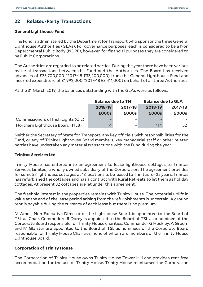## **22 Related-Party Transactions**

#### **General Lighthouse Fund**

The Fund is administered by the Department for Transport who sponsor the three General Lighthouse Authorities (GLAs). For governance purposes, each is considered to be a Non Departmental Public Body (NDPB), however, for financial purposes they are considered to be Public Corporations.

The Authorities are regarded to be related parties. During the year there have been various material transactions between the Fund and the Authorities. The Board has received advances of £33,700,000 (2017-18 £33,200,000) from the General Lighthouse Fund and incurred expenditure of £1,992,000 (2017-18 £3,411,000) on behalf of all three Authorities.

At the 31 March 2019, the balances outstanding with the GLAs were as follows:

|                                     | <b>Balance due to TH</b> |         | <b>Balance due to GLA</b> |         |  |
|-------------------------------------|--------------------------|---------|---------------------------|---------|--|
|                                     | 2018-19                  | 2017-18 |                           | 2017-18 |  |
|                                     | <b>£000s</b>             | £000s   | <b>£000s</b>              | £000s   |  |
| Commissioners of Irish Lights (CIL) |                          |         |                           |         |  |
| Northern Lighthouse Board (NLB)     |                          |         | 114                       | 52      |  |

Neither the Secretary of State for Transport, any key officials with responsibilities for the Fund, or any of Trinity Lighthouse Board members, key managerial staff or other related parties have undertaken any material transactions with the Fund during the year.

### **Trinitas Services Ltd**

Trinity House has entered into an agreement to lease lighthouse cottages to Trinitas Services Limited, a wholly owned subsidiary of the Corporation. The agreement provides for some 37 lighthouse cottages at 13 locations to be leased to Trinitas for 25 years. Trinitas has refurbished the cottages and has a contract with Rural Retreats to let them as holiday cottages. At present 32 cottages are let under this agreement.

The freehold interest in the properties remains with Trinity House. The potential uplift in value at the end of the lease period arising from the refurbishments is uncertain. A ground rent is payable during the currency of each lease but there is no premium.

M Amos, Non-Executive Director of the Lighthouse Board, is appointed to the Board of TSL as Chair. Commodore R Dorey is appointed to the Board of TSL as a nominee of the Corporate Board responsible for Trinity House charities. Commander G Hockley, A Groom and M Glaister are appointed to the Board of TSL as nominees of the Corporate Board responsible for Trinity House Charities, none of whom are members of the Trinity House Lighthouse Board.

#### **Corporation of Trinity House**

The Corporation of Trinity House owns Trinity House Tower Hill and provides rent free accommodation for the use of Trinity House. Trinity House reimburses the Corporation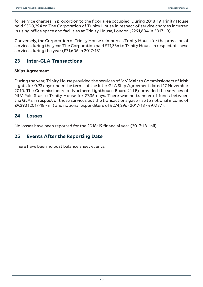for service charges in proportion to the floor area occupied. During 2018-19 Trinity House paid £300,294 to The Corporation of Trinity House in respect of service charges incurred in using office space and facilities at Trinity House, London (£291,604 in 2017-18).

Conversely, the Corporation of Trinity House reimburses Trinity House for the provision of services during the year. The Corporation paid £71,336 to Trinity House in respect of these services during the year (£71,606 in 2017-18).

### **23 Inter-GLA Transactions**

### **Ships Agreement**

During the year, Trinity House provided the services of MV Mair to Commissioners of Irish Lights for 0.93 days under the terms of the Inter GLA Ship Agreement dated 17 November 2010. The Commissioners of Northern Lighthouse Board (NLB) provided the services of NLV Pole Star to Trinity House for 27.36 days. There was no transfer of funds between the GLAs in respect of these services but the transactions gave rise to notional income of £9,293 (2017-18 - nil) and notional expenditure of £274,296 (2017-18 - £97,137).

### **24 Losses**

No losses have been reported for the 2018-19 financial year (2017-18 - nil).

### **25 Events After the Reporting Date**

There have been no post balance sheet events.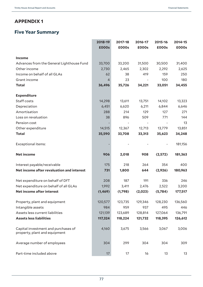## **APPENDIX 1**

# **Five Year Summary**

|                                                                      | 2018-19  | 2017-18                  | 2016-17                  | 2015-16 | 2014-15 |
|----------------------------------------------------------------------|----------|--------------------------|--------------------------|---------|---------|
|                                                                      | £000s    | £000s                    | £000s                    | £000s   | £000s   |
| Income                                                               |          |                          |                          |         |         |
| Advances from the General Lighthouse Fund                            | 33,700   | 33,200                   | 31,500                   | 30,500  | 31,400  |
| Other income                                                         | 2,730    | 2,465                    | 2,302                    | 2,292   | 2,625   |
| Income on behalf of all GLAs                                         | 62       | 38                       | 419                      | 159     | 250     |
| Grant income                                                         | 4        | 23                       |                          | 100     | 180     |
| <b>Total</b>                                                         | 36,496   | 35,726                   | 34,221                   | 33,051  | 34,455  |
| <b>Expenditure</b>                                                   |          |                          |                          |         |         |
| Staff costs                                                          | 14,298   | 13,611                   | 13,751                   | 14,102  | 13,323  |
| Depreciation                                                         | 6,451    | 6,620                    | 6,211                    | 6,844   | 6,646   |
| Amortisation                                                         | 288      | 214                      | 129                      | 127     | 271     |
| Loss on revaluation                                                  | 38       | 896                      | 509                      | 771     | 144     |
| Pension cost                                                         |          | $\overline{\phantom{m}}$ | $\overline{\phantom{a}}$ |         | 13      |
| Other expenditure                                                    | 14,515   | 12,367                   | 12,713                   | 13,779  | 13,851  |
| <b>Total</b>                                                         | 35,590   | 33,708                   | 33,313                   | 35,623  | 34,248  |
| <b>Exceptional items:</b>                                            |          |                          |                          |         | 181,156 |
| <b>Net income</b>                                                    | 906      | 2,018                    | 908                      | (2,572) | 181,363 |
| Interest payable/receivable                                          | 175      | 218                      | 264                      | 354     | 400     |
| Net income after revaluation and interest                            | 731      | 1,800                    | 644                      | (2,926) | 180,963 |
| Net expenditure on behalf of DfT                                     | 208      | 187                      | 191                      | 336     | 246     |
| Net expenditure on behalf of all GLAs                                | 1,992    | 3,411                    | 2,476                    | 2,522   | 3,200   |
| Net income after interest                                            | (1, 469) | (1,798)                  | (2,023)                  | (5,784) | 177,517 |
| Property, plant and equipment                                        | 120,577  | 123,735                  | 129,346                  | 128,230 | 136,560 |
| Intangible assets                                                    | 984      | 959                      | 937                      | 495     | 446     |
| Assets less current liabilities                                      | 121,139  | 123,689                  | 128,814                  | 127,064 | 136,791 |
| <b>Assets less liabilities</b>                                       | 117,324  | 118,224                  | 121,732                  | 118,395 | 126,612 |
| Capital investment and purchases of<br>property, plant and equipment | 4,160    | 3,675                    | 3,566                    | 3,067   | 3,006   |
| Average number of employees                                          | 304      | 299                      | 304                      | 304     | 309     |
| Part-time included above                                             | 17       | 17                       | 16                       | 13      | 13      |

÷